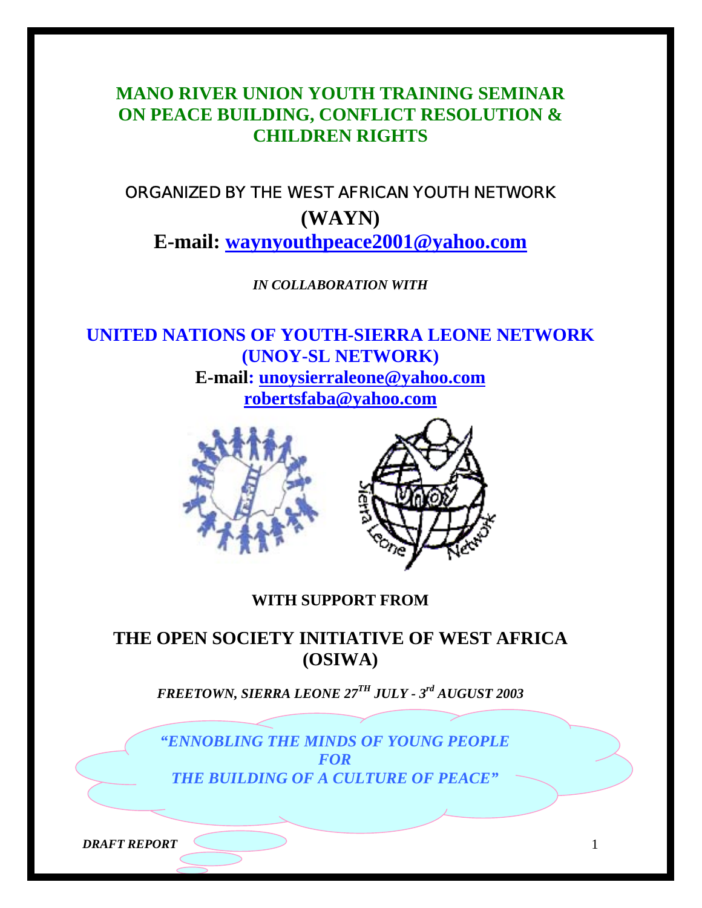# **MANO RIVER UNION YOUTH TRAINING SEMINAR ON PEACE BUILDING, CONFLICT RESOLUTION & CHILDREN RIGHTS**

# ORGANIZED BY THE WEST AFRICAN YOUTH NETWORK **(WAYN) E-mail: waynyouthpeace2001@yahoo.com**

*IN COLLABORATION WITH* 

**UNITED NATIONS OF YOUTH-SIERRA LEONE NETWORK (UNOY-SL NETWORK) E-mail: unoysierraleone@yahoo.com robertsfaba@yahoo.com** 





# **WITH SUPPORT FROM**

# **THE OPEN SOCIETY INITIATIVE OF WEST AFRICA (OSIWA)**

*FREETOWN, SIERRA LEONE 27TH JULY - 3rd AUGUST 2003* 

*"ENNOBLING THE MINDS OF YOUNG PEOPLE FOR THE BUILDING OF A CULTURE OF PEACE"* 

*DRAFT REPORT* 1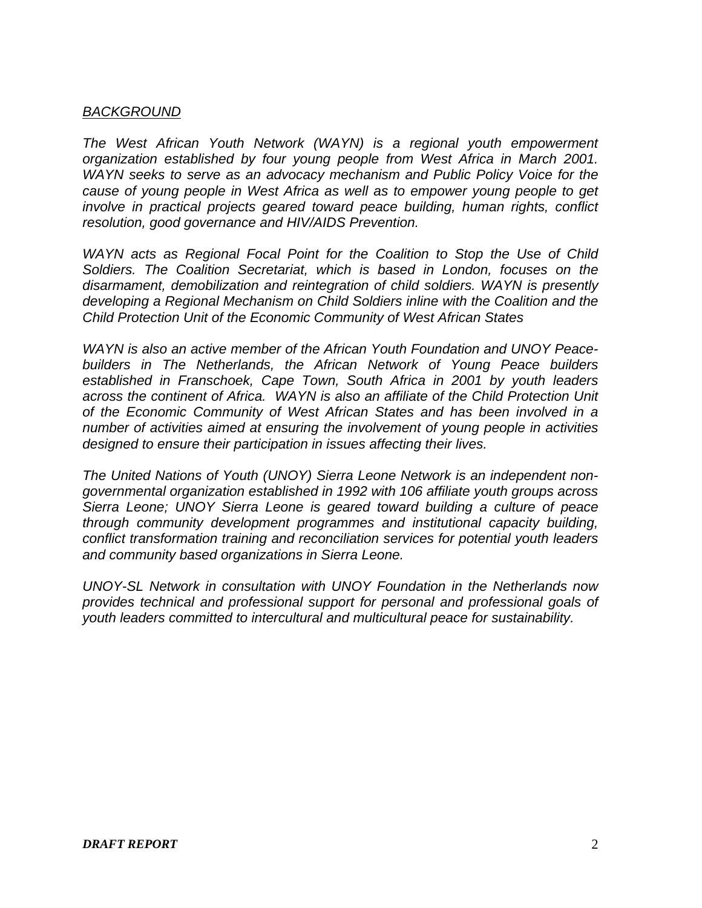# *BACKGROUND*

*The West African Youth Network (WAYN) is a regional youth empowerment organization established by four young people from West Africa in March 2001. WAYN seeks to serve as an advocacy mechanism and Public Policy Voice for the cause of young people in West Africa as well as to empower young people to get involve in practical projects geared toward peace building, human rights, conflict resolution, good governance and HIV/AIDS Prevention.* 

*WAYN acts as Regional Focal Point for the Coalition to Stop the Use of Child Soldiers. The Coalition Secretariat, which is based in London, focuses on the disarmament, demobilization and reintegration of child soldiers. WAYN is presently developing a Regional Mechanism on Child Soldiers inline with the Coalition and the Child Protection Unit of the Economic Community of West African States* 

*WAYN is also an active member of the African Youth Foundation and UNOY Peacebuilders in The Netherlands, the African Network of Young Peace builders established in Franschoek, Cape Town, South Africa in 2001 by youth leaders across the continent of Africa. WAYN is also an affiliate of the Child Protection Unit of the Economic Community of West African States and has been involved in a number of activities aimed at ensuring the involvement of young people in activities designed to ensure their participation in issues affecting their lives.* 

*The United Nations of Youth (UNOY) Sierra Leone Network is an independent nongovernmental organization established in 1992 with 106 affiliate youth groups across Sierra Leone; UNOY Sierra Leone is geared toward building a culture of peace through community development programmes and institutional capacity building, conflict transformation training and reconciliation services for potential youth leaders and community based organizations in Sierra Leone.* 

*UNOY-SL Network in consultation with UNOY Foundation in the Netherlands now provides technical and professional support for personal and professional goals of youth leaders committed to intercultural and multicultural peace for sustainability.*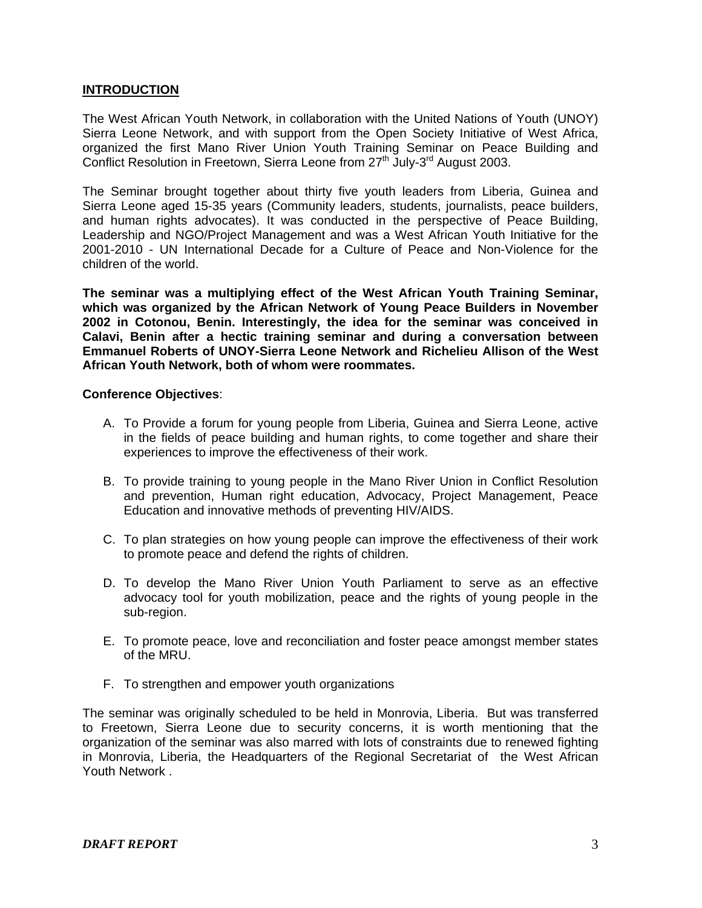## **INTRODUCTION**

The West African Youth Network, in collaboration with the United Nations of Youth (UNOY) Sierra Leone Network, and with support from the Open Society Initiative of West Africa, organized the first Mano River Union Youth Training Seminar on Peace Building and Conflict Resolution in Freetown, Sierra Leone from 27<sup>th</sup> July-3<sup>rd</sup> August 2003.

The Seminar brought together about thirty five youth leaders from Liberia, Guinea and Sierra Leone aged 15-35 years (Community leaders, students, journalists, peace builders, and human rights advocates). It was conducted in the perspective of Peace Building, Leadership and NGO/Project Management and was a West African Youth Initiative for the 2001-2010 - UN International Decade for a Culture of Peace and Non-Violence for the children of the world.

**The seminar was a multiplying effect of the West African Youth Training Seminar, which was organized by the African Network of Young Peace Builders in November 2002 in Cotonou, Benin. Interestingly, the idea for the seminar was conceived in Calavi, Benin after a hectic training seminar and during a conversation between Emmanuel Roberts of UNOY-Sierra Leone Network and Richelieu Allison of the West African Youth Network, both of whom were roommates.** 

#### **Conference Objectives**:

- A. To Provide a forum for young people from Liberia, Guinea and Sierra Leone, active in the fields of peace building and human rights, to come together and share their experiences to improve the effectiveness of their work.
- B. To provide training to young people in the Mano River Union in Conflict Resolution and prevention, Human right education, Advocacy, Project Management, Peace Education and innovative methods of preventing HIV/AIDS.
- C. To plan strategies on how young people can improve the effectiveness of their work to promote peace and defend the rights of children.
- D. To develop the Mano River Union Youth Parliament to serve as an effective advocacy tool for youth mobilization, peace and the rights of young people in the sub-region.
- E. To promote peace, love and reconciliation and foster peace amongst member states of the MRU.
- F. To strengthen and empower youth organizations

The seminar was originally scheduled to be held in Monrovia, Liberia. But was transferred to Freetown, Sierra Leone due to security concerns, it is worth mentioning that the organization of the seminar was also marred with lots of constraints due to renewed fighting in Monrovia, Liberia, the Headquarters of the Regional Secretariat of the West African Youth Network .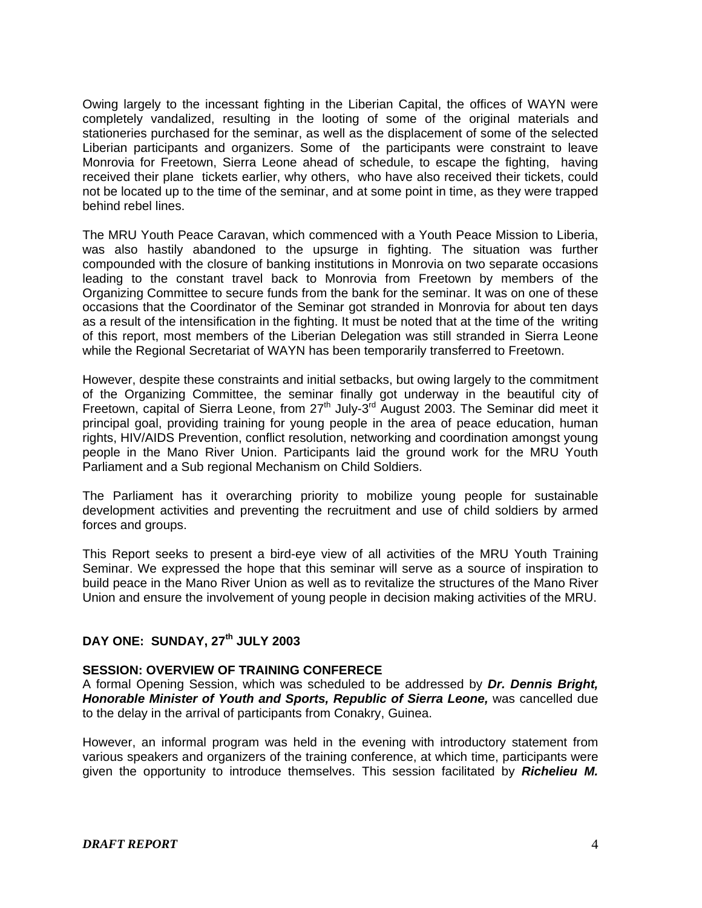Owing largely to the incessant fighting in the Liberian Capital, the offices of WAYN were completely vandalized, resulting in the looting of some of the original materials and stationeries purchased for the seminar, as well as the displacement of some of the selected Liberian participants and organizers. Some of the participants were constraint to leave Monrovia for Freetown, Sierra Leone ahead of schedule, to escape the fighting, having received their plane tickets earlier, why others, who have also received their tickets, could not be located up to the time of the seminar, and at some point in time, as they were trapped behind rebel lines.

The MRU Youth Peace Caravan, which commenced with a Youth Peace Mission to Liberia, was also hastily abandoned to the upsurge in fighting. The situation was further compounded with the closure of banking institutions in Monrovia on two separate occasions leading to the constant travel back to Monrovia from Freetown by members of the Organizing Committee to secure funds from the bank for the seminar. It was on one of these occasions that the Coordinator of the Seminar got stranded in Monrovia for about ten days as a result of the intensification in the fighting. It must be noted that at the time of the writing of this report, most members of the Liberian Delegation was still stranded in Sierra Leone while the Regional Secretariat of WAYN has been temporarily transferred to Freetown.

However, despite these constraints and initial setbacks, but owing largely to the commitment of the Organizing Committee, the seminar finally got underway in the beautiful city of Freetown, capital of Sierra Leone, from  $27<sup>th</sup>$  July-3<sup>rd</sup> August 2003. The Seminar did meet it principal goal, providing training for young people in the area of peace education, human rights, HIV/AIDS Prevention, conflict resolution, networking and coordination amongst young people in the Mano River Union. Participants laid the ground work for the MRU Youth Parliament and a Sub regional Mechanism on Child Soldiers.

The Parliament has it overarching priority to mobilize young people for sustainable development activities and preventing the recruitment and use of child soldiers by armed forces and groups.

This Report seeks to present a bird-eye view of all activities of the MRU Youth Training Seminar. We expressed the hope that this seminar will serve as a source of inspiration to build peace in the Mano River Union as well as to revitalize the structures of the Mano River Union and ensure the involvement of young people in decision making activities of the MRU.

# **DAY ONE: SUNDAY, 27th JULY 2003**

#### **SESSION: OVERVIEW OF TRAINING CONFERECE**

A formal Opening Session, which was scheduled to be addressed by *Dr. Dennis Bright, Honorable Minister of Youth and Sports, Republic of Sierra Leone,* was cancelled due to the delay in the arrival of participants from Conakry, Guinea.

However, an informal program was held in the evening with introductory statement from various speakers and organizers of the training conference, at which time, participants were given the opportunity to introduce themselves. This session facilitated by *Richelieu M.*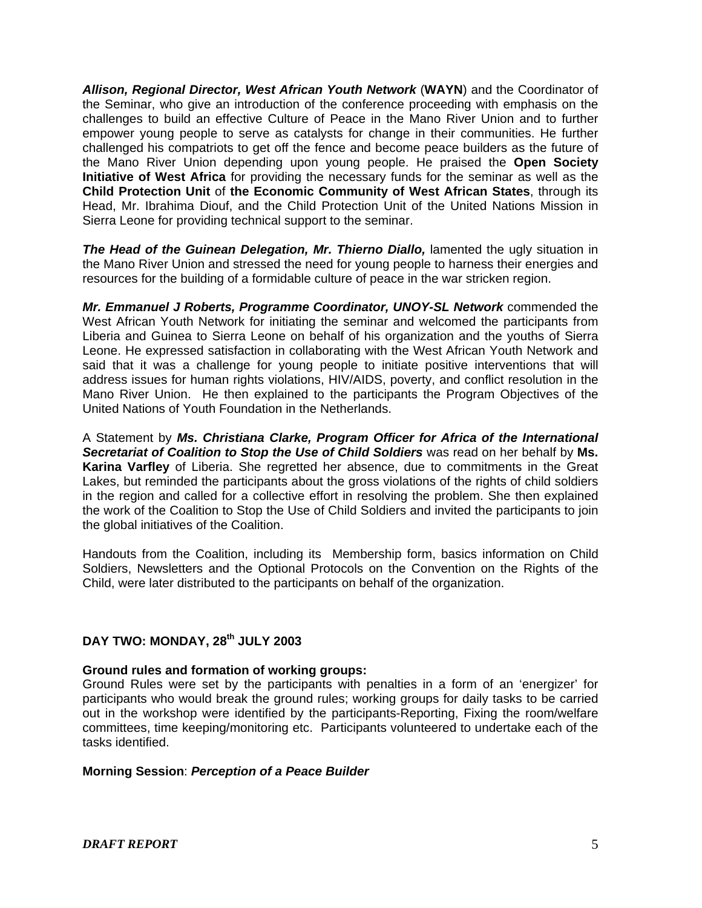*Allison, Regional Director, West African Youth Network* (**WAYN**) and the Coordinator of the Seminar, who give an introduction of the conference proceeding with emphasis on the challenges to build an effective Culture of Peace in the Mano River Union and to further empower young people to serve as catalysts for change in their communities. He further challenged his compatriots to get off the fence and become peace builders as the future of the Mano River Union depending upon young people. He praised the **Open Society Initiative of West Africa** for providing the necessary funds for the seminar as well as the **Child Protection Unit** of **the Economic Community of West African States**, through its Head, Mr. Ibrahima Diouf, and the Child Protection Unit of the United Nations Mission in Sierra Leone for providing technical support to the seminar.

*The Head of the Guinean Delegation, Mr. Thierno Diallo,* lamented the ugly situation in the Mano River Union and stressed the need for young people to harness their energies and resources for the building of a formidable culture of peace in the war stricken region.

*Mr. Emmanuel J Roberts, Programme Coordinator, UNOY-SL Network* commended the West African Youth Network for initiating the seminar and welcomed the participants from Liberia and Guinea to Sierra Leone on behalf of his organization and the youths of Sierra Leone. He expressed satisfaction in collaborating with the West African Youth Network and said that it was a challenge for young people to initiate positive interventions that will address issues for human rights violations, HIV/AIDS, poverty, and conflict resolution in the Mano River Union. He then explained to the participants the Program Objectives of the United Nations of Youth Foundation in the Netherlands.

A Statement by *Ms. Christiana Clarke, Program Officer for Africa of the International Secretariat of Coalition to Stop the Use of Child Soldiers* was read on her behalf by **Ms. Karina Varfley** of Liberia. She regretted her absence, due to commitments in the Great Lakes, but reminded the participants about the gross violations of the rights of child soldiers in the region and called for a collective effort in resolving the problem. She then explained the work of the Coalition to Stop the Use of Child Soldiers and invited the participants to join the global initiatives of the Coalition.

Handouts from the Coalition, including its Membership form, basics information on Child Soldiers, Newsletters and the Optional Protocols on the Convention on the Rights of the Child, were later distributed to the participants on behalf of the organization.

# **DAY TWO: MONDAY, 28th JULY 2003**

#### **Ground rules and formation of working groups:**

Ground Rules were set by the participants with penalties in a form of an 'energizer' for participants who would break the ground rules; working groups for daily tasks to be carried out in the workshop were identified by the participants-Reporting, Fixing the room/welfare committees, time keeping/monitoring etc. Participants volunteered to undertake each of the tasks identified.

#### **Morning Session**: *Perception of a Peace Builder*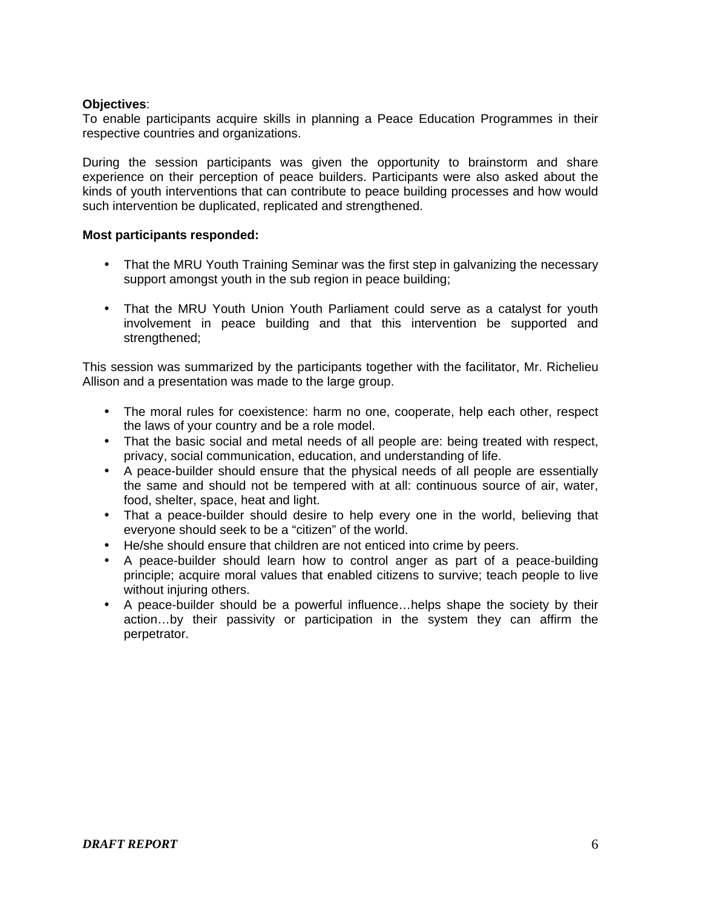## **Objectives**:

To enable participants acquire skills in planning a Peace Education Programmes in their respective countries and organizations.

During the session participants was given the opportunity to brainstorm and share experience on their perception of peace builders. Participants were also asked about the kinds of youth interventions that can contribute to peace building processes and how would such intervention be duplicated, replicated and strengthened.

#### **Most participants responded:**

- That the MRU Youth Training Seminar was the first step in galvanizing the necessary support amongst youth in the sub region in peace building;
- That the MRU Youth Union Youth Parliament could serve as a catalyst for youth involvement in peace building and that this intervention be supported and strengthened;

This session was summarized by the participants together with the facilitator, Mr. Richelieu Allison and a presentation was made to the large group.

- The moral rules for coexistence: harm no one, cooperate, help each other, respect the laws of your country and be a role model.
- That the basic social and metal needs of all people are: being treated with respect, privacy, social communication, education, and understanding of life.
- A peace-builder should ensure that the physical needs of all people are essentially the same and should not be tempered with at all: continuous source of air, water, food, shelter, space, heat and light.
- That a peace-builder should desire to help every one in the world, believing that everyone should seek to be a "citizen" of the world.
- He/she should ensure that children are not enticed into crime by peers.
- A peace-builder should learn how to control anger as part of a peace-building principle; acquire moral values that enabled citizens to survive; teach people to live without injuring others.
- A peace-builder should be a powerful influence...helps shape the society by their action…by their passivity or participation in the system they can affirm the perpetrator.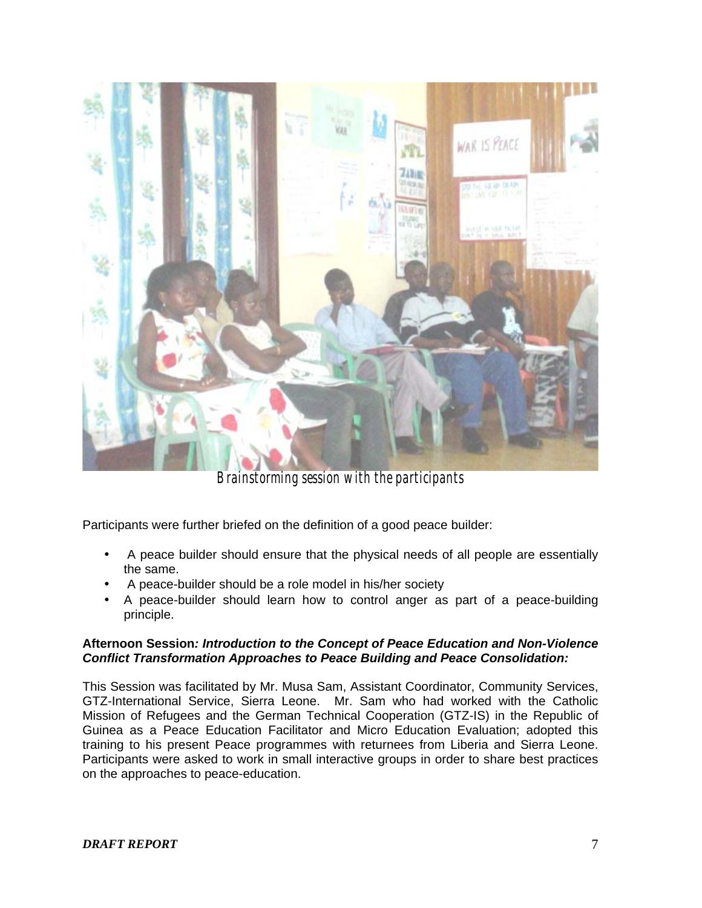

*Brainstorming session with the participants* 

Participants were further briefed on the definition of a good peace builder:

- A peace builder should ensure that the physical needs of all people are essentially the same.
- A peace-builder should be a role model in his/her society
- A peace-builder should learn how to control anger as part of a peace-building principle.

# **Afternoon Session***: Introduction to the Concept of Peace Education and Non-Violence Conflict Transformation Approaches to Peace Building and Peace Consolidation:*

This Session was facilitated by Mr. Musa Sam, Assistant Coordinator, Community Services, GTZ-International Service, Sierra Leone. Mr. Sam who had worked with the Catholic Mission of Refugees and the German Technical Cooperation (GTZ-IS) in the Republic of Guinea as a Peace Education Facilitator and Micro Education Evaluation; adopted this training to his present Peace programmes with returnees from Liberia and Sierra Leone. Participants were asked to work in small interactive groups in order to share best practices on the approaches to peace-education.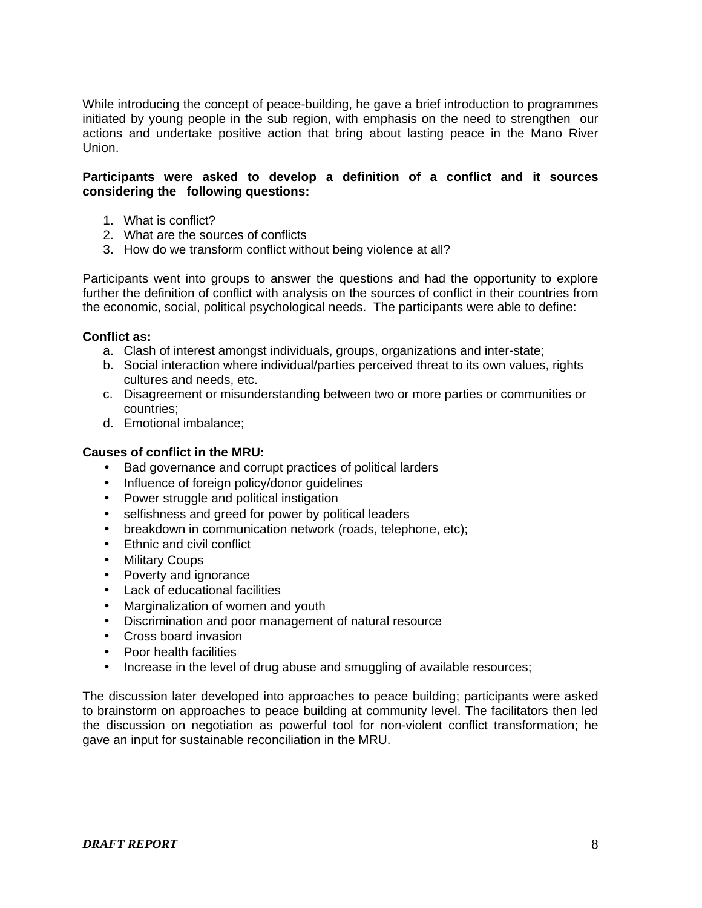While introducing the concept of peace-building, he gave a brief introduction to programmes initiated by young people in the sub region, with emphasis on the need to strengthen our actions and undertake positive action that bring about lasting peace in the Mano River Union.

## **Participants were asked to develop a definition of a conflict and it sources considering the following questions:**

- 1. What is conflict?
- 2. What are the sources of conflicts
- 3. How do we transform conflict without being violence at all?

Participants went into groups to answer the questions and had the opportunity to explore further the definition of conflict with analysis on the sources of conflict in their countries from the economic, social, political psychological needs. The participants were able to define:

## **Conflict as:**

- a. Clash of interest amongst individuals, groups, organizations and inter-state;
- b. Social interaction where individual/parties perceived threat to its own values, rights cultures and needs, etc.
- c. Disagreement or misunderstanding between two or more parties or communities or countries;
- d. Emotional imbalance;

## **Causes of conflict in the MRU:**

- Bad governance and corrupt practices of political larders
- Influence of foreign policy/donor guidelines
- Power struggle and political instigation
- selfishness and greed for power by political leaders
- breakdown in communication network (roads, telephone, etc);
- Ethnic and civil conflict
- Military Coups
- Poverty and ignorance
- Lack of educational facilities
- Marginalization of women and youth
- Discrimination and poor management of natural resource
- Cross board invasion
- Poor health facilities
- Increase in the level of drug abuse and smuggling of available resources;

The discussion later developed into approaches to peace building; participants were asked to brainstorm on approaches to peace building at community level. The facilitators then led the discussion on negotiation as powerful tool for non-violent conflict transformation; he gave an input for sustainable reconciliation in the MRU.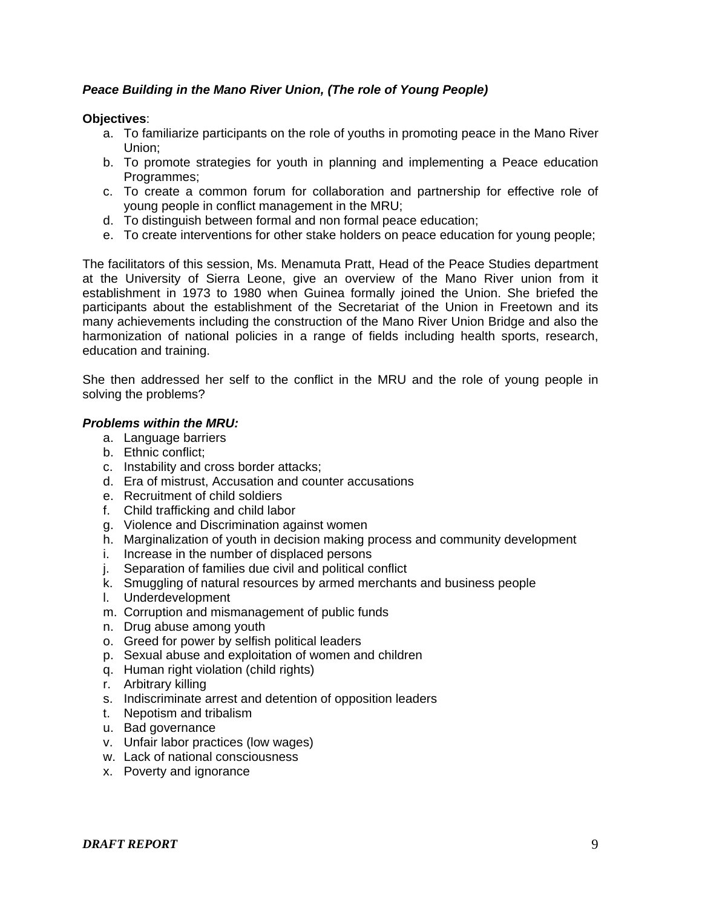# *Peace Building in the Mano River Union, (The role of Young People)*

### **Objectives**:

- a. To familiarize participants on the role of youths in promoting peace in the Mano River Union;
- b. To promote strategies for youth in planning and implementing a Peace education Programmes;
- c. To create a common forum for collaboration and partnership for effective role of young people in conflict management in the MRU;
- d. To distinguish between formal and non formal peace education;
- e. To create interventions for other stake holders on peace education for young people;

The facilitators of this session, Ms. Menamuta Pratt, Head of the Peace Studies department at the University of Sierra Leone, give an overview of the Mano River union from it establishment in 1973 to 1980 when Guinea formally joined the Union. She briefed the participants about the establishment of the Secretariat of the Union in Freetown and its many achievements including the construction of the Mano River Union Bridge and also the harmonization of national policies in a range of fields including health sports, research, education and training.

She then addressed her self to the conflict in the MRU and the role of young people in solving the problems?

# *Problems within the MRU:*

- a. Language barriers
- b. Ethnic conflict;
- c. Instability and cross border attacks;
- d. Era of mistrust, Accusation and counter accusations
- e. Recruitment of child soldiers
- f. Child trafficking and child labor
- g. Violence and Discrimination against women
- h. Marginalization of youth in decision making process and community development
- i. Increase in the number of displaced persons
- j. Separation of families due civil and political conflict
- k. Smuggling of natural resources by armed merchants and business people
- l. Underdevelopment
- m. Corruption and mismanagement of public funds
- n. Drug abuse among youth
- o. Greed for power by selfish political leaders
- p. Sexual abuse and exploitation of women and children
- q. Human right violation (child rights)
- r. Arbitrary killing
- s. Indiscriminate arrest and detention of opposition leaders
- t. Nepotism and tribalism
- u. Bad governance
- v. Unfair labor practices (low wages)
- w. Lack of national consciousness
- x. Poverty and ignorance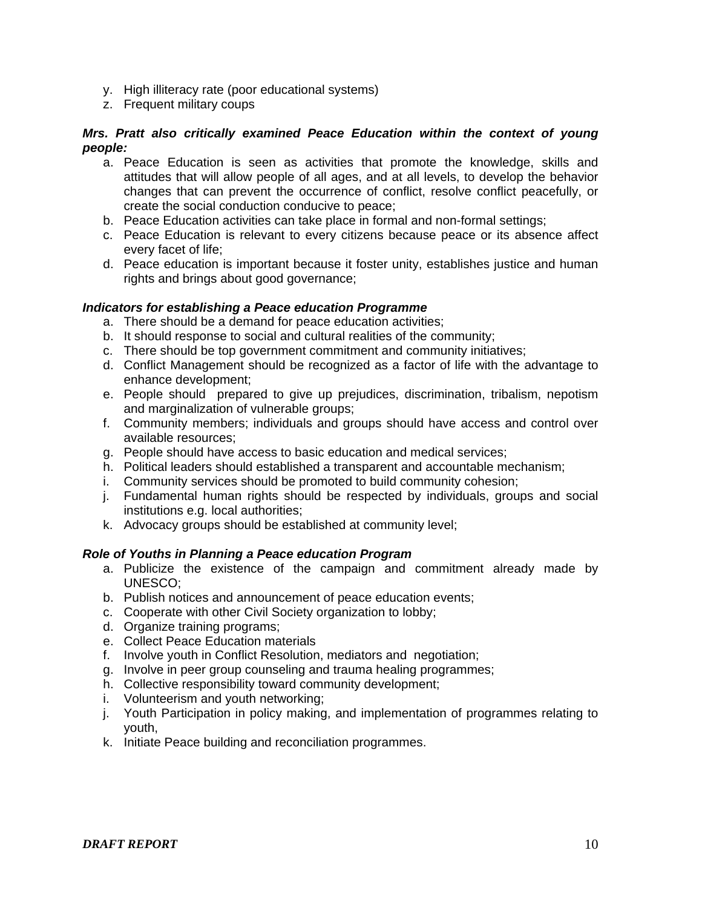- y. High illiteracy rate (poor educational systems)
- z. Frequent military coups

## *Mrs. Pratt also critically examined Peace Education within the context of young people:*

- a. Peace Education is seen as activities that promote the knowledge, skills and attitudes that will allow people of all ages, and at all levels, to develop the behavior changes that can prevent the occurrence of conflict, resolve conflict peacefully, or create the social conduction conducive to peace;
- b. Peace Education activities can take place in formal and non-formal settings;
- c. Peace Education is relevant to every citizens because peace or its absence affect every facet of life;
- d. Peace education is important because it foster unity, establishes justice and human rights and brings about good governance;

## *Indicators for establishing a Peace education Programme*

- a. There should be a demand for peace education activities;
- b. It should response to social and cultural realities of the community;
- c. There should be top government commitment and community initiatives;
- d. Conflict Management should be recognized as a factor of life with the advantage to enhance development;
- e. People should prepared to give up prejudices, discrimination, tribalism, nepotism and marginalization of vulnerable groups;
- f. Community members; individuals and groups should have access and control over available resources;
- g. People should have access to basic education and medical services;
- h. Political leaders should established a transparent and accountable mechanism;
- i. Community services should be promoted to build community cohesion;
- j. Fundamental human rights should be respected by individuals, groups and social institutions e.g. local authorities;
- k. Advocacy groups should be established at community level;

#### *Role of Youths in Planning a Peace education Program*

- a. Publicize the existence of the campaign and commitment already made by UNESCO;
- b. Publish notices and announcement of peace education events;
- c. Cooperate with other Civil Society organization to lobby;
- d. Organize training programs;
- e. Collect Peace Education materials
- f. Involve youth in Conflict Resolution, mediators and negotiation;
- g. Involve in peer group counseling and trauma healing programmes;
- h. Collective responsibility toward community development;
- i. Volunteerism and youth networking;
- j. Youth Participation in policy making, and implementation of programmes relating to youth,
- k. Initiate Peace building and reconciliation programmes.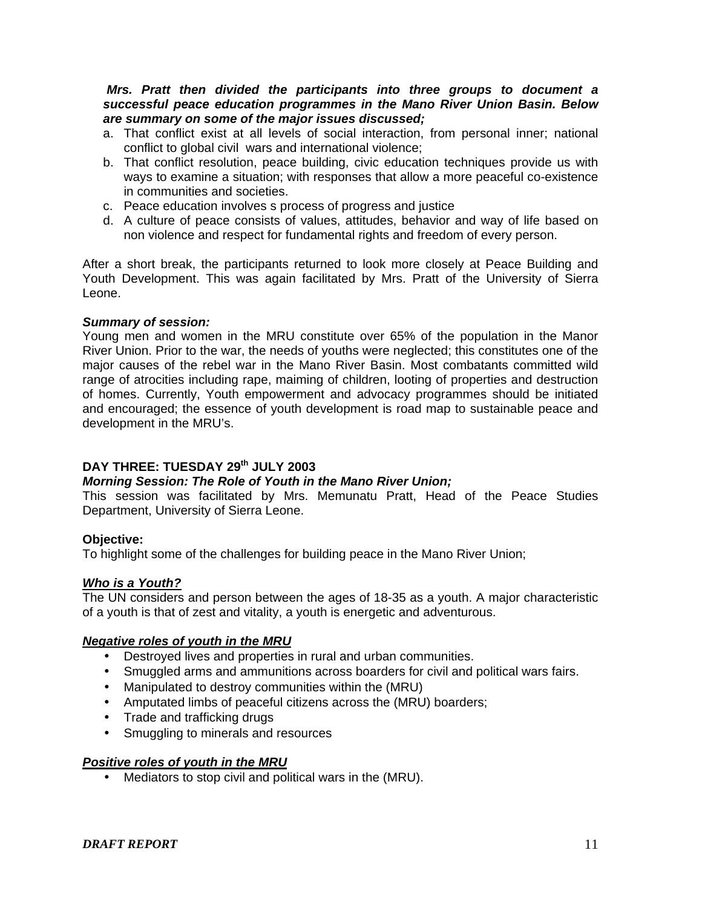#### *Mrs. Pratt then divided the participants into three groups to document a successful peace education programmes in the Mano River Union Basin. Below are summary on some of the major issues discussed;*

- a. That conflict exist at all levels of social interaction, from personal inner; national conflict to global civil wars and international violence;
- b. That conflict resolution, peace building, civic education techniques provide us with ways to examine a situation; with responses that allow a more peaceful co-existence in communities and societies.
- c. Peace education involves s process of progress and justice
- d. A culture of peace consists of values, attitudes, behavior and way of life based on non violence and respect for fundamental rights and freedom of every person.

After a short break, the participants returned to look more closely at Peace Building and Youth Development. This was again facilitated by Mrs. Pratt of the University of Sierra Leone.

## *Summary of session:*

Young men and women in the MRU constitute over 65% of the population in the Manor River Union. Prior to the war, the needs of youths were neglected; this constitutes one of the major causes of the rebel war in the Mano River Basin. Most combatants committed wild range of atrocities including rape, maiming of children, looting of properties and destruction of homes. Currently, Youth empowerment and advocacy programmes should be initiated and encouraged; the essence of youth development is road map to sustainable peace and development in the MRU's.

# **DAY THREE: TUESDAY 29th JULY 2003**

### *Morning Session: The Role of Youth in the Mano River Union;*

This session was facilitated by Mrs. Memunatu Pratt, Head of the Peace Studies Department, University of Sierra Leone.

# **Objective:**

To highlight some of the challenges for building peace in the Mano River Union;

# *Who is a Youth?*

The UN considers and person between the ages of 18-35 as a youth. A major characteristic of a youth is that of zest and vitality, a youth is energetic and adventurous.

#### *Negative roles of youth in the MRU*

- Destroyed lives and properties in rural and urban communities.
- Smuggled arms and ammunitions across boarders for civil and political wars fairs.
- Manipulated to destroy communities within the (MRU)
- Amputated limbs of peaceful citizens across the (MRU) boarders;
- Trade and trafficking drugs
- Smuggling to minerals and resources

#### *Positive roles of youth in the MRU*

• Mediators to stop civil and political wars in the (MRU).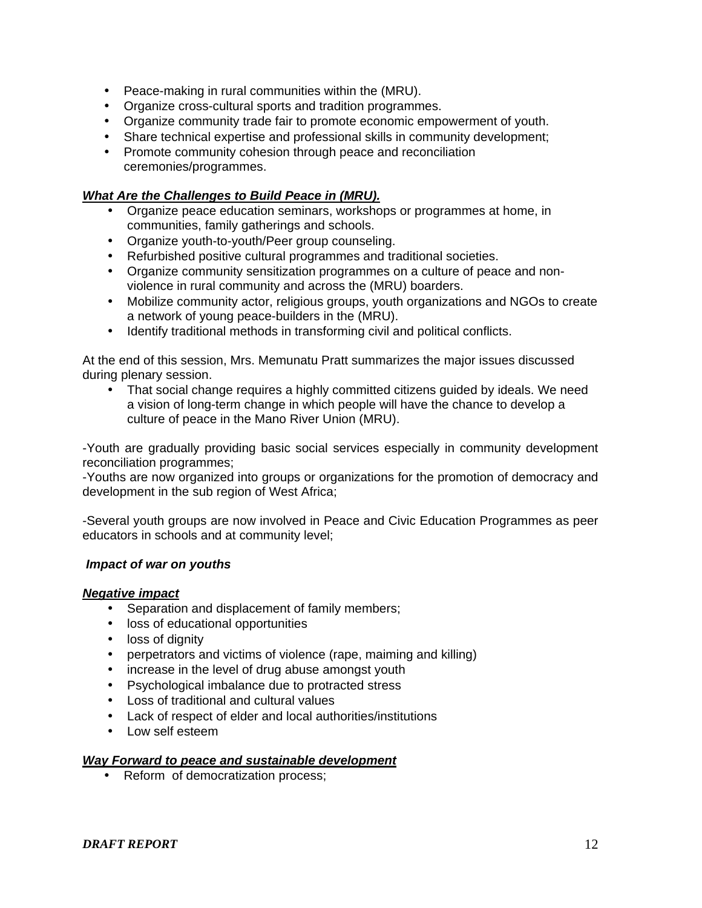- Peace-making in rural communities within the (MRU).
- Organize cross-cultural sports and tradition programmes.
- Organize community trade fair to promote economic empowerment of youth.
- Share technical expertise and professional skills in community development;
- Promote community cohesion through peace and reconciliation ceremonies/programmes.

## *What Are the Challenges to Build Peace in (MRU).*

- Organize peace education seminars, workshops or programmes at home, in communities, family gatherings and schools.
- Organize youth-to-youth/Peer group counseling.
- Refurbished positive cultural programmes and traditional societies.
- Organize community sensitization programmes on a culture of peace and nonviolence in rural community and across the (MRU) boarders.
- Mobilize community actor, religious groups, youth organizations and NGOs to create a network of young peace-builders in the (MRU).
- Identify traditional methods in transforming civil and political conflicts.

At the end of this session, Mrs. Memunatu Pratt summarizes the major issues discussed during plenary session.

• That social change requires a highly committed citizens guided by ideals. We need a vision of long-term change in which people will have the chance to develop a culture of peace in the Mano River Union (MRU).

-Youth are gradually providing basic social services especially in community development reconciliation programmes;

-Youths are now organized into groups or organizations for the promotion of democracy and development in the sub region of West Africa;

-Several youth groups are now involved in Peace and Civic Education Programmes as peer educators in schools and at community level;

#### *Impact of war on youths*

#### *Negative impact*

- Separation and displacement of family members;
- loss of educational opportunities
- loss of dignity
- perpetrators and victims of violence (rape, maiming and killing)
- increase in the level of drug abuse amongst youth
- Psychological imbalance due to protracted stress
- Loss of traditional and cultural values
- Lack of respect of elder and local authorities/institutions
- Low self esteem

#### *Way Forward to peace and sustainable development*

• Reform of democratization process;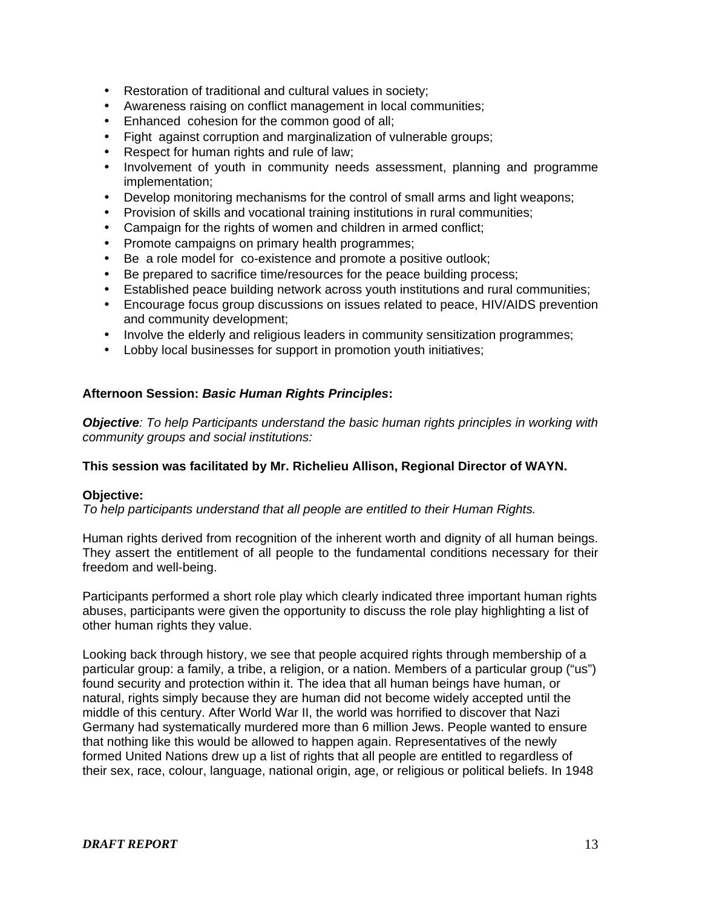- Restoration of traditional and cultural values in society;
- Awareness raising on conflict management in local communities;
- Enhanced cohesion for the common good of all;
- Fight against corruption and marginalization of vulnerable groups;
- Respect for human rights and rule of law;
- Involvement of youth in community needs assessment, planning and programme implementation;
- Develop monitoring mechanisms for the control of small arms and light weapons;
- Provision of skills and vocational training institutions in rural communities;
- Campaign for the rights of women and children in armed conflict;
- Promote campaigns on primary health programmes;
- Be a role model for co-existence and promote a positive outlook;
- Be prepared to sacrifice time/resources for the peace building process;
- Established peace building network across youth institutions and rural communities;
- Encourage focus group discussions on issues related to peace, HIV/AIDS prevention and community development;
- Involve the elderly and religious leaders in community sensitization programmes;
- Lobby local businesses for support in promotion youth initiatives;

## **Afternoon Session:** *Basic Human Rights Principles***:**

*Objective: To help Participants understand the basic human rights principles in working with community groups and social institutions:* 

#### **This session was facilitated by Mr. Richelieu Allison, Regional Director of WAYN.**

#### **Objective:**

*To help participants understand that all people are entitled to their Human Rights.* 

Human rights derived from recognition of the inherent worth and dignity of all human beings. They assert the entitlement of all people to the fundamental conditions necessary for their freedom and well-being.

Participants performed a short role play which clearly indicated three important human rights abuses, participants were given the opportunity to discuss the role play highlighting a list of other human rights they value.

Looking back through history, we see that people acquired rights through membership of a particular group: a family, a tribe, a religion, or a nation. Members of a particular group ("us") found security and protection within it. The idea that all human beings have human, or natural, rights simply because they are human did not become widely accepted until the middle of this century. After World War II, the world was horrified to discover that Nazi Germany had systematically murdered more than 6 million Jews. People wanted to ensure that nothing like this would be allowed to happen again. Representatives of the newly formed United Nations drew up a list of rights that all people are entitled to regardless of their sex, race, colour, language, national origin, age, or religious or political beliefs. In 1948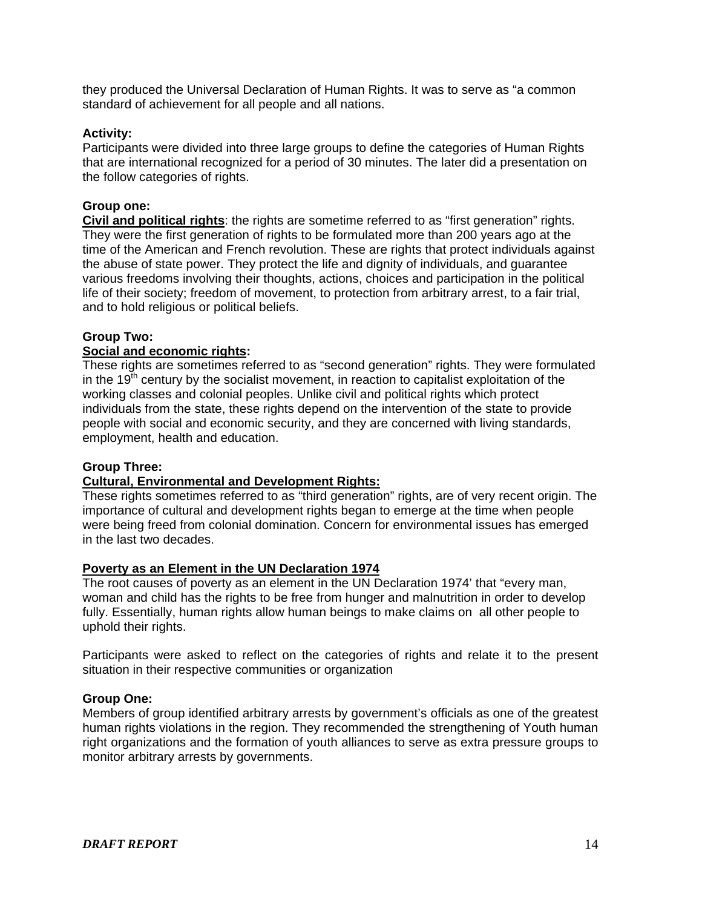they produced the Universal Declaration of Human Rights. It was to serve as "a common standard of achievement for all people and all nations.

## **Activity:**

Participants were divided into three large groups to define the categories of Human Rights that are international recognized for a period of 30 minutes. The later did a presentation on the follow categories of rights.

## **Group one:**

**Civil and political rights**: the rights are sometime referred to as "first generation" rights. They were the first generation of rights to be formulated more than 200 years ago at the time of the American and French revolution. These are rights that protect individuals against the abuse of state power. They protect the life and dignity of individuals, and guarantee various freedoms involving their thoughts, actions, choices and participation in the political life of their society; freedom of movement, to protection from arbitrary arrest, to a fair trial, and to hold religious or political beliefs.

## **Group Two:**

# **Social and economic rights:**

These rights are sometimes referred to as "second generation" rights. They were formulated in the  $19<sup>th</sup>$  century by the socialist movement, in reaction to capitalist exploitation of the working classes and colonial peoples. Unlike civil and political rights which protect individuals from the state, these rights depend on the intervention of the state to provide people with social and economic security, and they are concerned with living standards, employment, health and education.

#### **Group Three:**

# **Cultural, Environmental and Development Rights:**

These rights sometimes referred to as "third generation" rights, are of very recent origin. The importance of cultural and development rights began to emerge at the time when people were being freed from colonial domination. Concern for environmental issues has emerged in the last two decades.

#### **Poverty as an Element in the UN Declaration 1974**

The root causes of poverty as an element in the UN Declaration 1974' that "every man, woman and child has the rights to be free from hunger and malnutrition in order to develop fully. Essentially, human rights allow human beings to make claims on all other people to uphold their rights.

Participants were asked to reflect on the categories of rights and relate it to the present situation in their respective communities or organization

#### **Group One:**

Members of group identified arbitrary arrests by government's officials as one of the greatest human rights violations in the region. They recommended the strengthening of Youth human right organizations and the formation of youth alliances to serve as extra pressure groups to monitor arbitrary arrests by governments.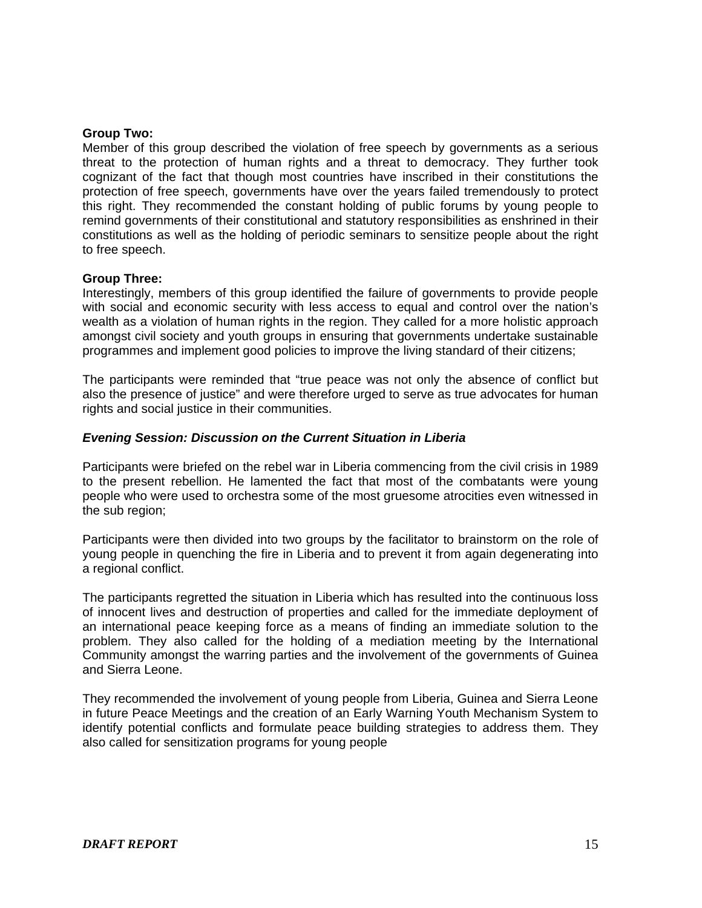#### **Group Two:**

Member of this group described the violation of free speech by governments as a serious threat to the protection of human rights and a threat to democracy. They further took cognizant of the fact that though most countries have inscribed in their constitutions the protection of free speech, governments have over the years failed tremendously to protect this right. They recommended the constant holding of public forums by young people to remind governments of their constitutional and statutory responsibilities as enshrined in their constitutions as well as the holding of periodic seminars to sensitize people about the right to free speech.

#### **Group Three:**

Interestingly, members of this group identified the failure of governments to provide people with social and economic security with less access to equal and control over the nation's wealth as a violation of human rights in the region. They called for a more holistic approach amongst civil society and youth groups in ensuring that governments undertake sustainable programmes and implement good policies to improve the living standard of their citizens;

The participants were reminded that "true peace was not only the absence of conflict but also the presence of justice" and were therefore urged to serve as true advocates for human rights and social justice in their communities.

#### *Evening Session: Discussion on the Current Situation in Liberia*

Participants were briefed on the rebel war in Liberia commencing from the civil crisis in 1989 to the present rebellion. He lamented the fact that most of the combatants were young people who were used to orchestra some of the most gruesome atrocities even witnessed in the sub region;

Participants were then divided into two groups by the facilitator to brainstorm on the role of young people in quenching the fire in Liberia and to prevent it from again degenerating into a regional conflict.

The participants regretted the situation in Liberia which has resulted into the continuous loss of innocent lives and destruction of properties and called for the immediate deployment of an international peace keeping force as a means of finding an immediate solution to the problem. They also called for the holding of a mediation meeting by the International Community amongst the warring parties and the involvement of the governments of Guinea and Sierra Leone.

They recommended the involvement of young people from Liberia, Guinea and Sierra Leone in future Peace Meetings and the creation of an Early Warning Youth Mechanism System to identify potential conflicts and formulate peace building strategies to address them. They also called for sensitization programs for young people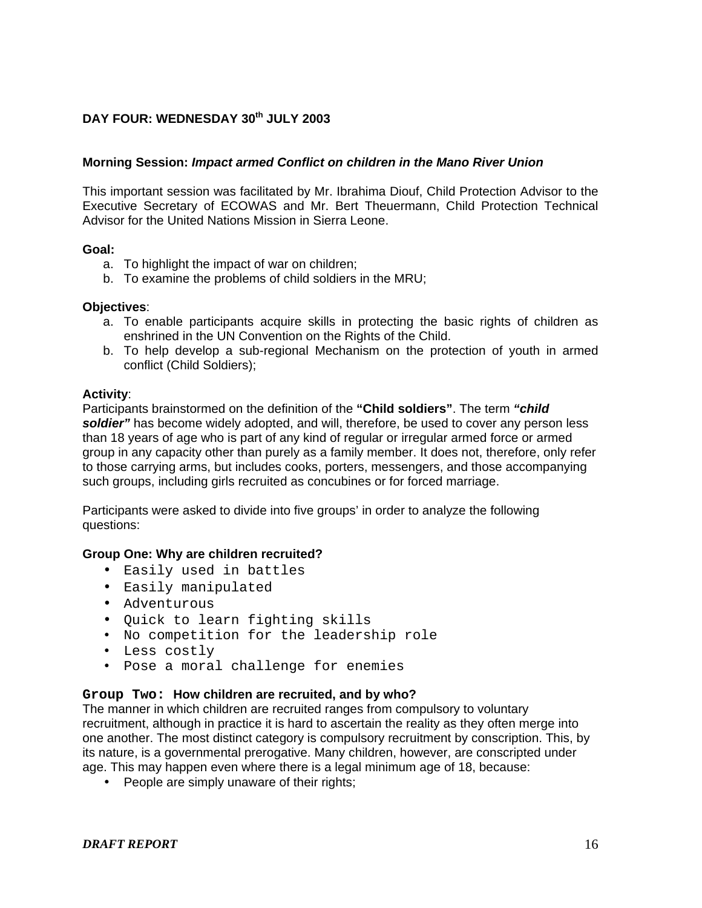## DAY FOUR: WEDNESDAY 30<sup>th</sup> JULY 2003

#### **Morning Session:** *Impact armed Conflict on children in the Mano River Union*

This important session was facilitated by Mr. Ibrahima Diouf, Child Protection Advisor to the Executive Secretary of ECOWAS and Mr. Bert Theuermann, Child Protection Technical Advisor for the United Nations Mission in Sierra Leone.

#### **Goal:**

- a. To highlight the impact of war on children;
- b. To examine the problems of child soldiers in the MRU;

#### **Objectives**:

- a. To enable participants acquire skills in protecting the basic rights of children as enshrined in the UN Convention on the Rights of the Child.
- b. To help develop a sub-regional Mechanism on the protection of youth in armed conflict (Child Soldiers);

#### **Activity**:

Participants brainstormed on the definition of the **"Child soldiers"**. The term *"child soldier"* has become widely adopted, and will, therefore, be used to cover any person less than 18 years of age who is part of any kind of regular or irregular armed force or armed group in any capacity other than purely as a family member. It does not, therefore, only refer to those carrying arms, but includes cooks, porters, messengers, and those accompanying such groups, including girls recruited as concubines or for forced marriage.

Participants were asked to divide into five groups' in order to analyze the following questions:

#### **Group One: Why are children recruited?**

- Easily used in battles
- Easily manipulated
- Adventurous
- Quick to learn fighting skills
- No competition for the leadership role
- Less costly
- Pose a moral challenge for enemies

### **Group Two: How children are recruited, and by who?**

The manner in which children are recruited ranges from compulsory to voluntary recruitment, although in practice it is hard to ascertain the reality as they often merge into one another. The most distinct category is compulsory recruitment by conscription. This, by its nature, is a governmental prerogative. Many children, however, are conscripted under age. This may happen even where there is a legal minimum age of 18, because:

• People are simply unaware of their rights;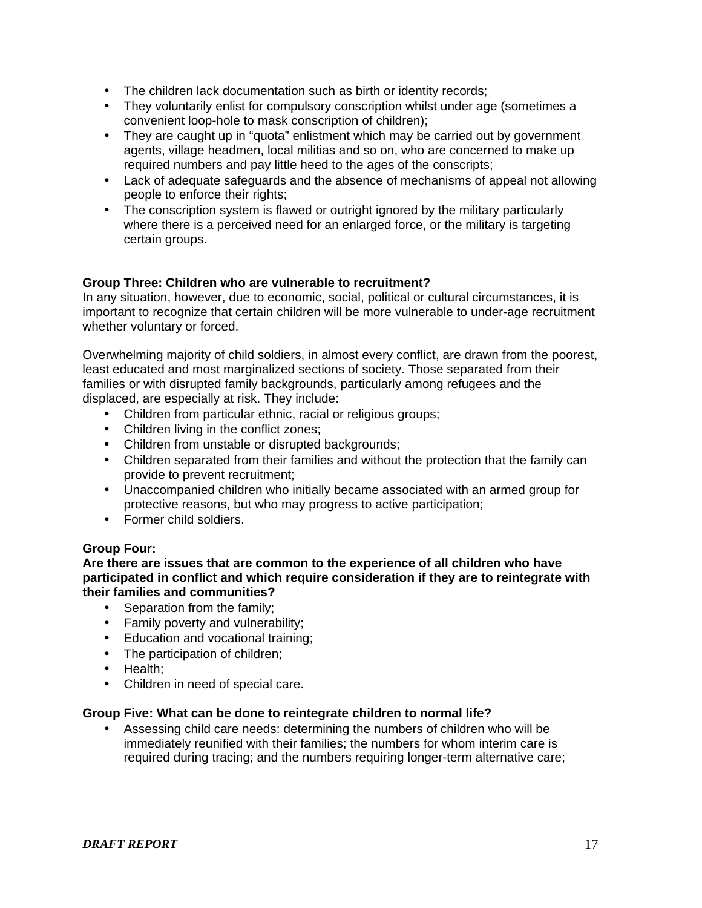- The children lack documentation such as birth or identity records;
- They voluntarily enlist for compulsory conscription whilst under age (sometimes a convenient loop-hole to mask conscription of children);
- They are caught up in "guota" enlistment which may be carried out by government agents, village headmen, local militias and so on, who are concerned to make up required numbers and pay little heed to the ages of the conscripts;
- Lack of adequate safeguards and the absence of mechanisms of appeal not allowing people to enforce their rights;
- The conscription system is flawed or outright ignored by the military particularly where there is a perceived need for an enlarged force, or the military is targeting certain groups.

# **Group Three: Children who are vulnerable to recruitment?**

In any situation, however, due to economic, social, political or cultural circumstances, it is important to recognize that certain children will be more vulnerable to under-age recruitment whether voluntary or forced.

Overwhelming majority of child soldiers, in almost every conflict, are drawn from the poorest, least educated and most marginalized sections of society. Those separated from their families or with disrupted family backgrounds, particularly among refugees and the displaced, are especially at risk. They include:

- Children from particular ethnic, racial or religious groups;
- Children living in the conflict zones;
- Children from unstable or disrupted backgrounds;
- Children separated from their families and without the protection that the family can provide to prevent recruitment;
- Unaccompanied children who initially became associated with an armed group for protective reasons, but who may progress to active participation;
- Former child soldiers.

# **Group Four:**

### **Are there are issues that are common to the experience of all children who have participated in conflict and which require consideration if they are to reintegrate with their families and communities?**

- Separation from the family:
- Family poverty and vulnerability;
- Education and vocational training;
- The participation of children;
- Health;
- Children in need of special care.

# **Group Five: What can be done to reintegrate children to normal life?**

• Assessing child care needs: determining the numbers of children who will be immediately reunified with their families; the numbers for whom interim care is required during tracing; and the numbers requiring longer-term alternative care;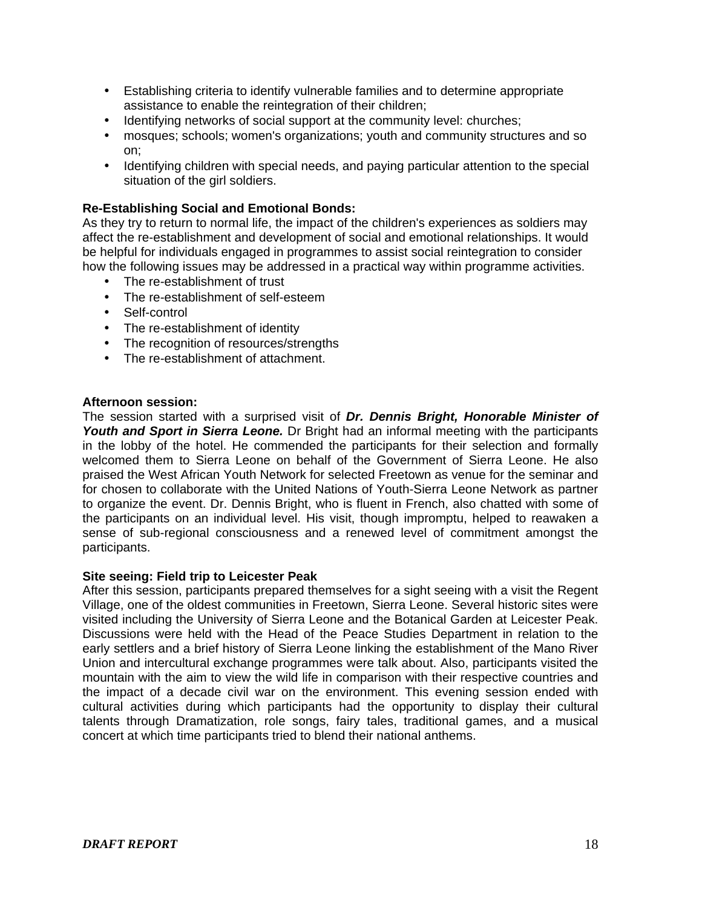- Establishing criteria to identify vulnerable families and to determine appropriate assistance to enable the reintegration of their children;
- Identifying networks of social support at the community level: churches;
- mosques; schools; women's organizations; youth and community structures and so on;
- Identifying children with special needs, and paying particular attention to the special situation of the girl soldiers.

# **Re-Establishing Social and Emotional Bonds:**

As they try to return to normal life, the impact of the children's experiences as soldiers may affect the re-establishment and development of social and emotional relationships. It would be helpful for individuals engaged in programmes to assist social reintegration to consider how the following issues may be addressed in a practical way within programme activities.

- The re-establishment of trust
- The re-establishment of self-esteem
- Self-control
- The re-establishment of identity
- The recognition of resources/strengths
- The re-establishment of attachment.

## **Afternoon session:**

The session started with a surprised visit of *Dr. Dennis Bright, Honorable Minister of*  Youth and Sport in Sierra Leone. Dr Bright had an informal meeting with the participants in the lobby of the hotel. He commended the participants for their selection and formally welcomed them to Sierra Leone on behalf of the Government of Sierra Leone. He also praised the West African Youth Network for selected Freetown as venue for the seminar and for chosen to collaborate with the United Nations of Youth-Sierra Leone Network as partner to organize the event. Dr. Dennis Bright, who is fluent in French, also chatted with some of the participants on an individual level. His visit, though impromptu, helped to reawaken a sense of sub-regional consciousness and a renewed level of commitment amongst the participants.

#### **Site seeing: Field trip to Leicester Peak**

After this session, participants prepared themselves for a sight seeing with a visit the Regent Village, one of the oldest communities in Freetown, Sierra Leone. Several historic sites were visited including the University of Sierra Leone and the Botanical Garden at Leicester Peak. Discussions were held with the Head of the Peace Studies Department in relation to the early settlers and a brief history of Sierra Leone linking the establishment of the Mano River Union and intercultural exchange programmes were talk about. Also, participants visited the mountain with the aim to view the wild life in comparison with their respective countries and the impact of a decade civil war on the environment. This evening session ended with cultural activities during which participants had the opportunity to display their cultural talents through Dramatization, role songs, fairy tales, traditional games, and a musical concert at which time participants tried to blend their national anthems.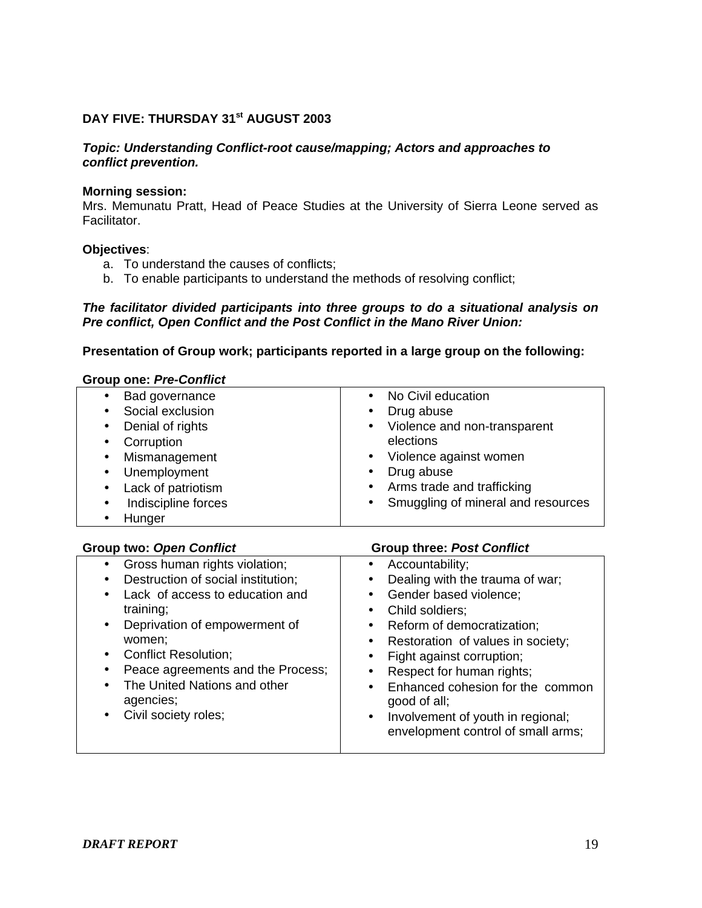## DAY FIVE: THURSDAY 31<sup>st</sup> AUGUST 2003

#### *Topic: Understanding Conflict-root cause/mapping; Actors and approaches to conflict prevention.*

#### **Morning session:**

Mrs. Memunatu Pratt, Head of Peace Studies at the University of Sierra Leone served as Facilitator.

#### **Objectives**:

- a. To understand the causes of conflicts;
- b. To enable participants to understand the methods of resolving conflict;

#### *The facilitator divided participants into three groups to do a situational analysis on Pre conflict, Open Conflict and the Post Conflict in the Mano River Union:*

#### **Presentation of Group work; participants reported in a large group on the following:**

| <b>Group one: Pre-Conflict</b>  |                                                 |
|---------------------------------|-------------------------------------------------|
| Bad governance<br>$\bullet$     | No Civil education                              |
| Social exclusion<br>$\bullet$   | Drug abuse                                      |
| Denial of rights<br>$\bullet$   | Violence and non-transparent<br>$\bullet$       |
| Corruption<br>$\bullet$         | elections                                       |
| Mismanagement<br>$\bullet$      | Violence against women                          |
| • Unemployment                  | Drug abuse<br>$\bullet$                         |
| Lack of patriotism<br>$\bullet$ | Arms trade and trafficking<br>$\bullet$         |
| Indiscipline forces<br>٠        | Smuggling of mineral and resources<br>$\bullet$ |
| Hunger                          |                                                 |

#### **Group two:** *Open Conflict* **Group three:** *Post Conflict*

| Gross human rights violation;      | Accountability;<br>$\bullet$                   |
|------------------------------------|------------------------------------------------|
| Destruction of social institution; | Dealing with the trauma of war;<br>٠           |
| Lack of access to education and    | Gender based violence;<br>$\bullet$            |
| training;                          | Child soldiers;<br>$\bullet$                   |
| Deprivation of empowerment of      | Reform of democratization;<br>$\bullet$        |
| women;                             | Restoration of values in society;<br>$\bullet$ |
| <b>Conflict Resolution;</b>        | Fight against corruption;                      |
| Peace agreements and the Process;  | Respect for human rights;                      |
| The United Nations and other       | Enhanced cohesion for the common<br>$\bullet$  |
| agencies;                          | good of all;                                   |
| Civil society roles;               | Involvement of youth in regional;<br>$\bullet$ |
|                                    | envelopment control of small arms;             |
|                                    |                                                |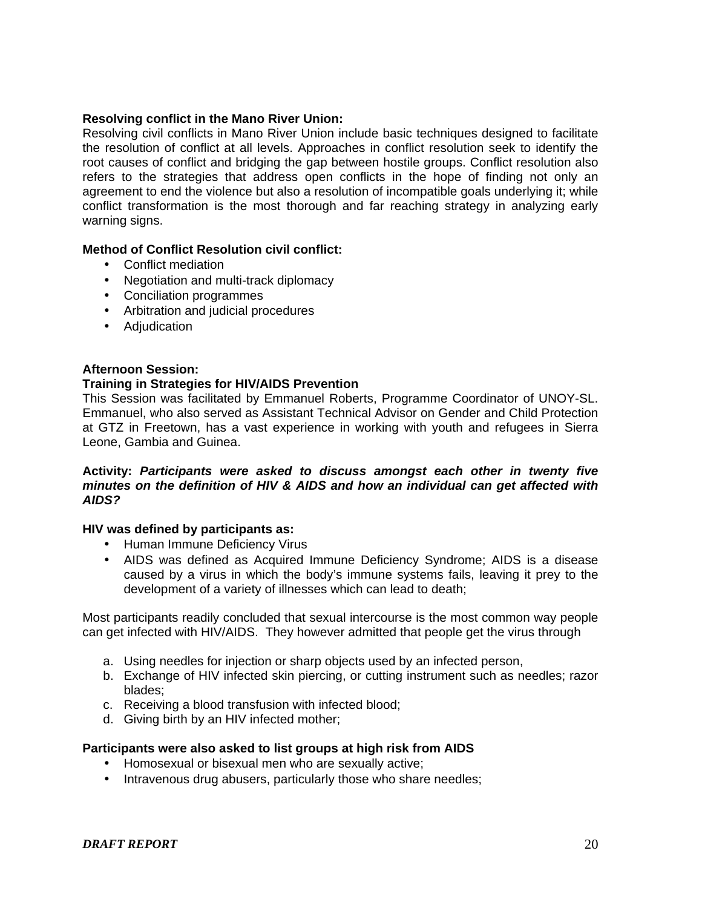## **Resolving conflict in the Mano River Union:**

Resolving civil conflicts in Mano River Union include basic techniques designed to facilitate the resolution of conflict at all levels. Approaches in conflict resolution seek to identify the root causes of conflict and bridging the gap between hostile groups. Conflict resolution also refers to the strategies that address open conflicts in the hope of finding not only an agreement to end the violence but also a resolution of incompatible goals underlying it; while conflict transformation is the most thorough and far reaching strategy in analyzing early warning signs.

#### **Method of Conflict Resolution civil conflict:**

- Conflict mediation
- Negotiation and multi-track diplomacy
- Conciliation programmes
- Arbitration and judicial procedures
- Adjudication

#### **Afternoon Session:**

#### **Training in Strategies for HIV/AIDS Prevention**

This Session was facilitated by Emmanuel Roberts, Programme Coordinator of UNOY-SL. Emmanuel, who also served as Assistant Technical Advisor on Gender and Child Protection at GTZ in Freetown, has a vast experience in working with youth and refugees in Sierra Leone, Gambia and Guinea.

#### **Activity:** *Participants were asked to discuss amongst each other in twenty five minutes on the definition of HIV & AIDS and how an individual can get affected with AIDS?*

#### **HIV was defined by participants as:**

- Human Immune Deficiency Virus
- AIDS was defined as Acquired Immune Deficiency Syndrome; AIDS is a disease caused by a virus in which the body's immune systems fails, leaving it prey to the development of a variety of illnesses which can lead to death;

Most participants readily concluded that sexual intercourse is the most common way people can get infected with HIV/AIDS. They however admitted that people get the virus through

- a. Using needles for injection or sharp objects used by an infected person,
- b. Exchange of HIV infected skin piercing, or cutting instrument such as needles; razor blades;
- c. Receiving a blood transfusion with infected blood;
- d. Giving birth by an HIV infected mother;

#### **Participants were also asked to list groups at high risk from AIDS**

- Homosexual or bisexual men who are sexually active;
- Intravenous drug abusers, particularly those who share needles;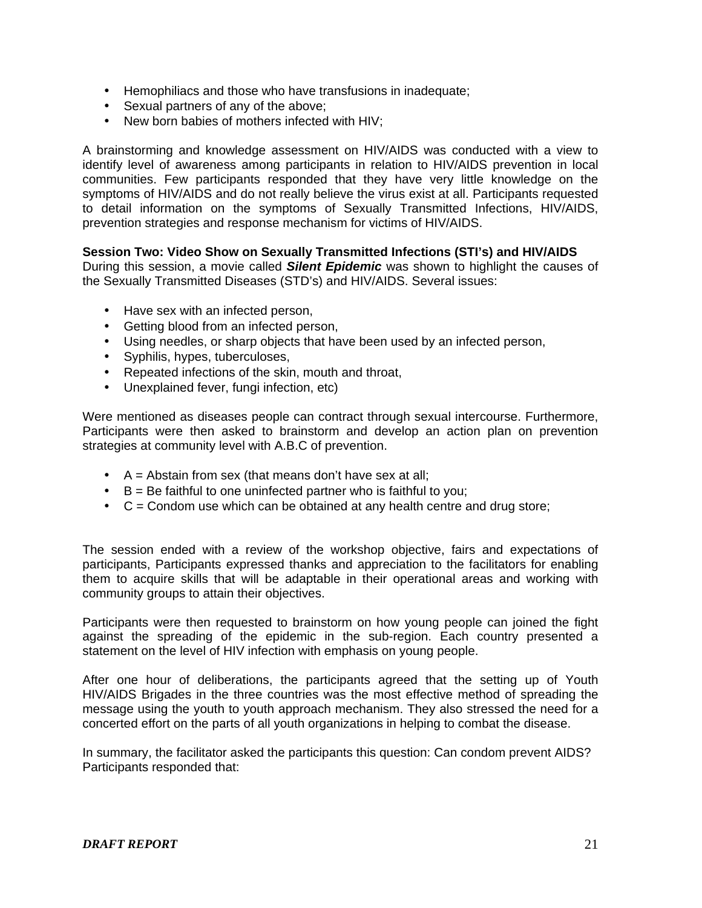- Hemophiliacs and those who have transfusions in inadequate;
- Sexual partners of any of the above;
- New born babies of mothers infected with HIV:

A brainstorming and knowledge assessment on HIV/AIDS was conducted with a view to identify level of awareness among participants in relation to HIV/AIDS prevention in local communities. Few participants responded that they have very little knowledge on the symptoms of HIV/AIDS and do not really believe the virus exist at all. Participants requested to detail information on the symptoms of Sexually Transmitted Infections, HIV/AIDS, prevention strategies and response mechanism for victims of HIV/AIDS.

## **Session Two: Video Show on Sexually Transmitted Infections (STI's) and HIV/AIDS**

During this session, a movie called *Silent Epidemic* was shown to highlight the causes of the Sexually Transmitted Diseases (STD's) and HIV/AIDS. Several issues:

- Have sex with an infected person,
- Getting blood from an infected person,
- Using needles, or sharp objects that have been used by an infected person,
- Syphilis, hypes, tuberculoses,
- Repeated infections of the skin, mouth and throat,
- Unexplained fever, fungi infection, etc)

Were mentioned as diseases people can contract through sexual intercourse. Furthermore, Participants were then asked to brainstorm and develop an action plan on prevention strategies at community level with A.B.C of prevention.

- $\bullet$  A = Abstain from sex (that means don't have sex at all;
- $\bullet$  B = Be faithful to one uninfected partner who is faithful to you;
- $\bullet$   $C =$  Condom use which can be obtained at any health centre and drug store;

The session ended with a review of the workshop objective, fairs and expectations of participants, Participants expressed thanks and appreciation to the facilitators for enabling them to acquire skills that will be adaptable in their operational areas and working with community groups to attain their objectives.

Participants were then requested to brainstorm on how young people can joined the fight against the spreading of the epidemic in the sub-region. Each country presented a statement on the level of HIV infection with emphasis on young people.

After one hour of deliberations, the participants agreed that the setting up of Youth HIV/AIDS Brigades in the three countries was the most effective method of spreading the message using the youth to youth approach mechanism. They also stressed the need for a concerted effort on the parts of all youth organizations in helping to combat the disease.

In summary, the facilitator asked the participants this question: Can condom prevent AIDS? Participants responded that: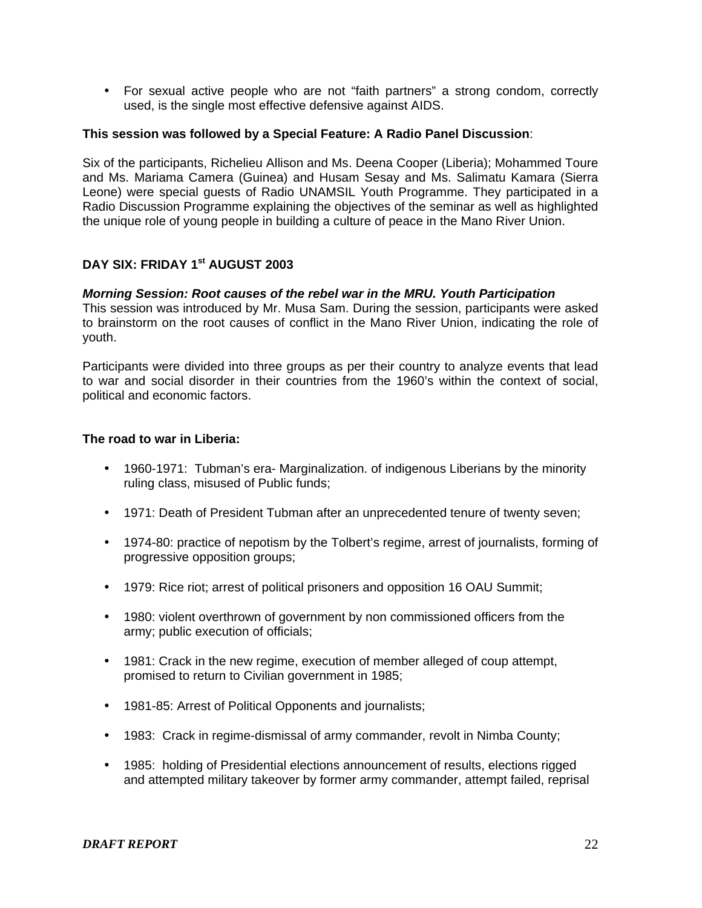• For sexual active people who are not "faith partners" a strong condom, correctly used, is the single most effective defensive against AIDS.

#### **This session was followed by a Special Feature: A Radio Panel Discussion**:

Six of the participants, Richelieu Allison and Ms. Deena Cooper (Liberia); Mohammed Toure and Ms. Mariama Camera (Guinea) and Husam Sesay and Ms. Salimatu Kamara (Sierra Leone) were special guests of Radio UNAMSIL Youth Programme. They participated in a Radio Discussion Programme explaining the objectives of the seminar as well as highlighted the unique role of young people in building a culture of peace in the Mano River Union.

# **DAY SIX: FRIDAY 1st AUGUST 2003**

#### *Morning Session: Root causes of the rebel war in the MRU. Youth Participation*

This session was introduced by Mr. Musa Sam. During the session, participants were asked to brainstorm on the root causes of conflict in the Mano River Union, indicating the role of youth.

Participants were divided into three groups as per their country to analyze events that lead to war and social disorder in their countries from the 1960's within the context of social, political and economic factors.

#### **The road to war in Liberia:**

- 1960-1971: Tubman's era- Marginalization. of indigenous Liberians by the minority ruling class, misused of Public funds;
- 1971: Death of President Tubman after an unprecedented tenure of twenty seven;
- 1974-80: practice of nepotism by the Tolbert's regime, arrest of journalists, forming of progressive opposition groups;
- 1979: Rice riot; arrest of political prisoners and opposition 16 OAU Summit;
- 1980: violent overthrown of government by non commissioned officers from the army; public execution of officials;
- 1981: Crack in the new regime, execution of member alleged of coup attempt, promised to return to Civilian government in 1985;
- 1981-85: Arrest of Political Opponents and journalists;
- 1983: Crack in regime-dismissal of army commander, revolt in Nimba County;
- 1985: holding of Presidential elections announcement of results, elections rigged and attempted military takeover by former army commander, attempt failed, reprisal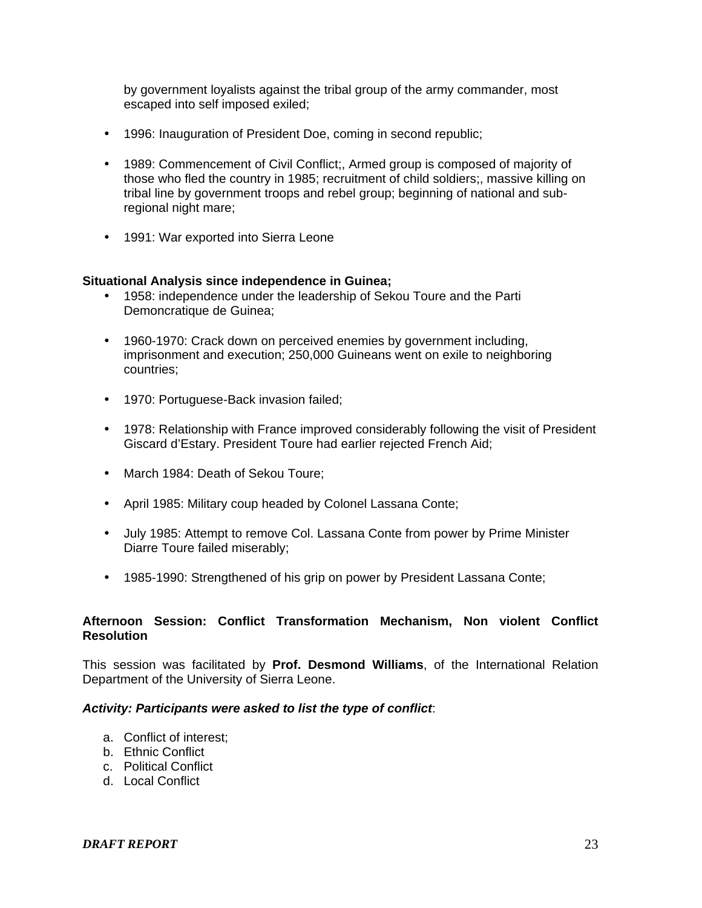by government loyalists against the tribal group of the army commander, most escaped into self imposed exiled;

- 1996: Inauguration of President Doe, coming in second republic;
- 1989: Commencement of Civil Conflict;, Armed group is composed of majority of those who fled the country in 1985; recruitment of child soldiers;, massive killing on tribal line by government troops and rebel group; beginning of national and subregional night mare;
- 1991: War exported into Sierra Leone

## **Situational Analysis since independence in Guinea;**

- 1958: independence under the leadership of Sekou Toure and the Parti Demoncratique de Guinea;
- 1960-1970: Crack down on perceived enemies by government including, imprisonment and execution; 250,000 Guineans went on exile to neighboring countries;
- 1970: Portuguese-Back invasion failed;
- 1978: Relationship with France improved considerably following the visit of President Giscard d'Estary. President Toure had earlier rejected French Aid;
- March 1984: Death of Sekou Toure;
- April 1985: Military coup headed by Colonel Lassana Conte;
- July 1985: Attempt to remove Col. Lassana Conte from power by Prime Minister Diarre Toure failed miserably;
- 1985-1990: Strengthened of his grip on power by President Lassana Conte;

## **Afternoon Session: Conflict Transformation Mechanism, Non violent Conflict Resolution**

This session was facilitated by **Prof. Desmond Williams**, of the International Relation Department of the University of Sierra Leone.

#### *Activity: Participants were asked to list the type of conflict*:

- a. Conflict of interest;
- b. Ethnic Conflict
- c. Political Conflict
- d. Local Conflict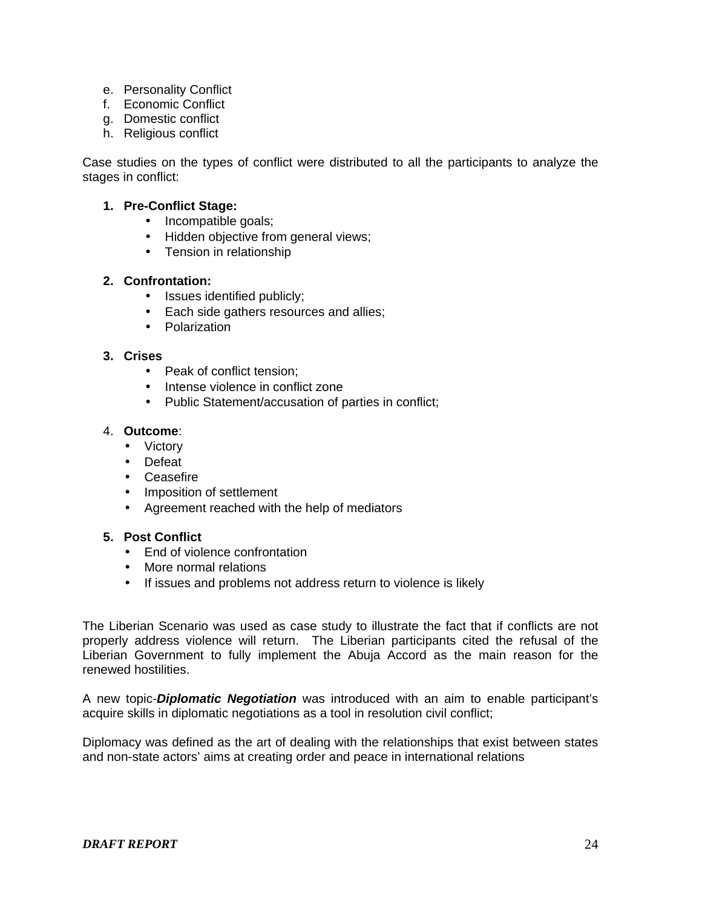- e. Personality Conflict
- f. Economic Conflict
- g. Domestic conflict
- h. Religious conflict

Case studies on the types of conflict were distributed to all the participants to analyze the stages in conflict:

## **1. Pre-Conflict Stage:**

- Incompatible goals;
- Hidden objective from general views;
- Tension in relationship

# **2. Confrontation:**

- Issues identified publicly;
- Each side gathers resources and allies;
- Polarization

## **3. Crises**

- Peak of conflict tension;
- Intense violence in conflict zone
- Public Statement/accusation of parties in conflict;

### 4. **Outcome**:

- Victory
- Defeat
- Ceasefire
- Imposition of settlement
- Agreement reached with the help of mediators

### **5. Post Conflict**

- Fnd of violence confrontation
- More normal relations
- If issues and problems not address return to violence is likely

The Liberian Scenario was used as case study to illustrate the fact that if conflicts are not properly address violence will return. The Liberian participants cited the refusal of the Liberian Government to fully implement the Abuja Accord as the main reason for the renewed hostilities.

A new topic-*Diplomatic Negotiation* was introduced with an aim to enable participant's acquire skills in diplomatic negotiations as a tool in resolution civil conflict;

Diplomacy was defined as the art of dealing with the relationships that exist between states and non-state actors' aims at creating order and peace in international relations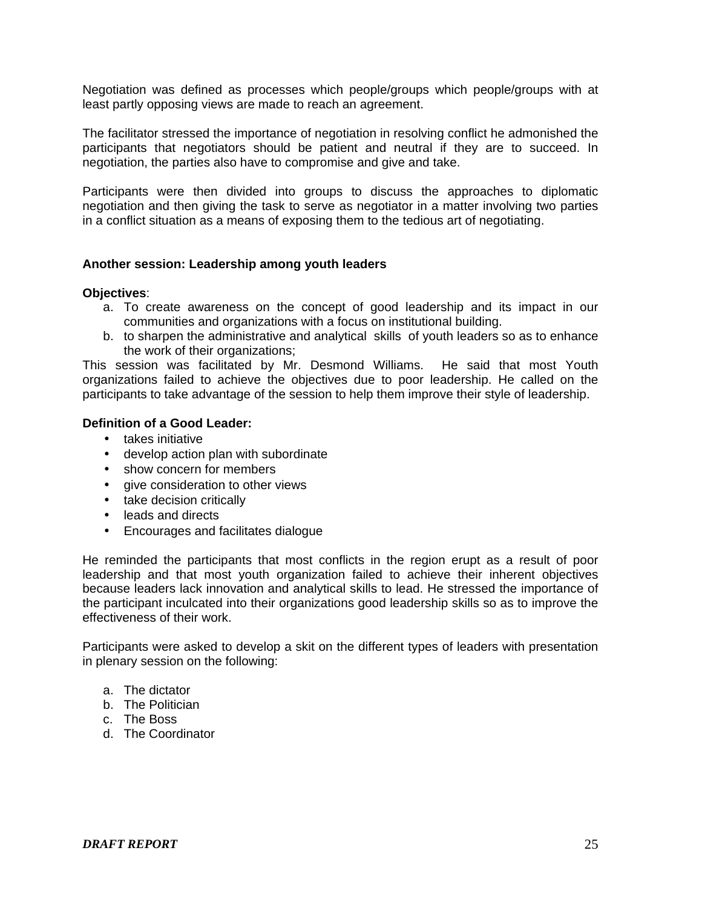Negotiation was defined as processes which people/groups which people/groups with at least partly opposing views are made to reach an agreement.

The facilitator stressed the importance of negotiation in resolving conflict he admonished the participants that negotiators should be patient and neutral if they are to succeed. In negotiation, the parties also have to compromise and give and take.

Participants were then divided into groups to discuss the approaches to diplomatic negotiation and then giving the task to serve as negotiator in a matter involving two parties in a conflict situation as a means of exposing them to the tedious art of negotiating.

#### **Another session: Leadership among youth leaders**

#### **Objectives**:

- a. To create awareness on the concept of good leadership and its impact in our communities and organizations with a focus on institutional building.
- b. to sharpen the administrative and analytical skills of youth leaders so as to enhance the work of their organizations;

This session was facilitated by Mr. Desmond Williams. He said that most Youth organizations failed to achieve the objectives due to poor leadership. He called on the participants to take advantage of the session to help them improve their style of leadership.

## **Definition of a Good Leader:**

- takes initiative
- develop action plan with subordinate
- show concern for members
- give consideration to other views
- take decision critically
- leads and directs
- Encourages and facilitates dialogue

He reminded the participants that most conflicts in the region erupt as a result of poor leadership and that most youth organization failed to achieve their inherent objectives because leaders lack innovation and analytical skills to lead. He stressed the importance of the participant inculcated into their organizations good leadership skills so as to improve the effectiveness of their work.

Participants were asked to develop a skit on the different types of leaders with presentation in plenary session on the following:

- a. The dictator
- b. The Politician
- c. The Boss
- d. The Coordinator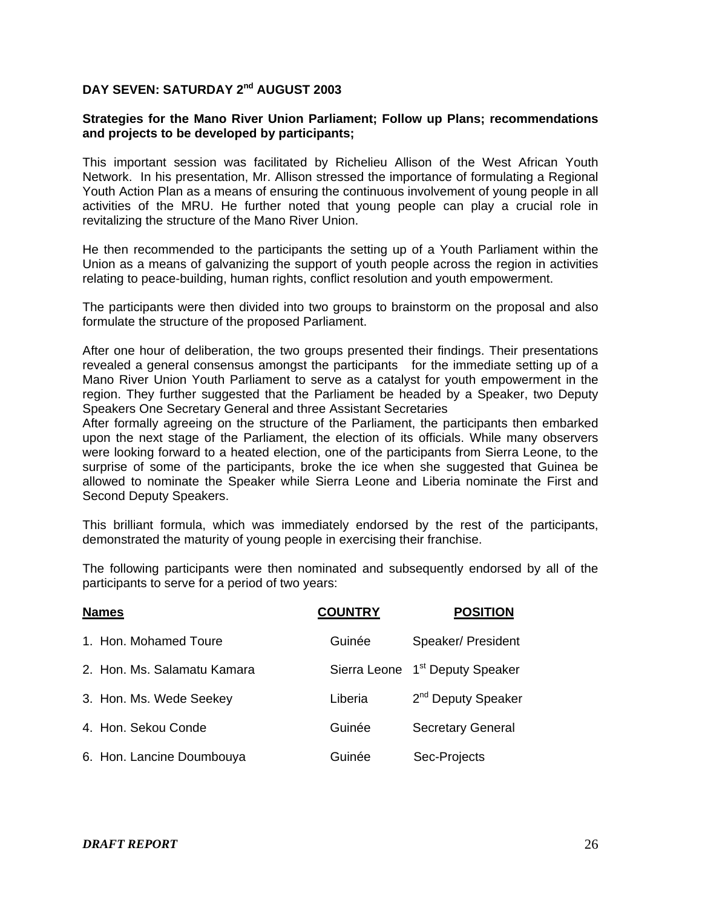# **DAY SEVEN: SATURDAY 2nd AUGUST 2003**

### **Strategies for the Mano River Union Parliament; Follow up Plans; recommendations and projects to be developed by participants;**

This important session was facilitated by Richelieu Allison of the West African Youth Network. In his presentation, Mr. Allison stressed the importance of formulating a Regional Youth Action Plan as a means of ensuring the continuous involvement of young people in all activities of the MRU. He further noted that young people can play a crucial role in revitalizing the structure of the Mano River Union.

He then recommended to the participants the setting up of a Youth Parliament within the Union as a means of galvanizing the support of youth people across the region in activities relating to peace-building, human rights, conflict resolution and youth empowerment.

The participants were then divided into two groups to brainstorm on the proposal and also formulate the structure of the proposed Parliament.

After one hour of deliberation, the two groups presented their findings. Their presentations revealed a general consensus amongst the participants for the immediate setting up of a Mano River Union Youth Parliament to serve as a catalyst for youth empowerment in the region. They further suggested that the Parliament be headed by a Speaker, two Deputy Speakers One Secretary General and three Assistant Secretaries

After formally agreeing on the structure of the Parliament, the participants then embarked upon the next stage of the Parliament, the election of its officials. While many observers were looking forward to a heated election, one of the participants from Sierra Leone, to the surprise of some of the participants, broke the ice when she suggested that Guinea be allowed to nominate the Speaker while Sierra Leone and Liberia nominate the First and Second Deputy Speakers.

This brilliant formula, which was immediately endorsed by the rest of the participants, demonstrated the maturity of young people in exercising their franchise.

The following participants were then nominated and subsequently endorsed by all of the participants to serve for a period of two years:

| <b>Names</b>                | <b>COUNTRY</b> | <b>POSITION</b>                             |
|-----------------------------|----------------|---------------------------------------------|
| 1. Hon. Mohamed Toure       | Guinée         | Speaker/ President                          |
| 2. Hon. Ms. Salamatu Kamara |                | Sierra Leone 1 <sup>st</sup> Deputy Speaker |
| 3. Hon. Ms. Wede Seekey     | Liberia        | 2 <sup>nd</sup> Deputy Speaker              |
| 4. Hon. Sekou Conde         | Guinée         | <b>Secretary General</b>                    |
| 6. Hon. Lancine Doumbouya   | Guinée         | Sec-Projects                                |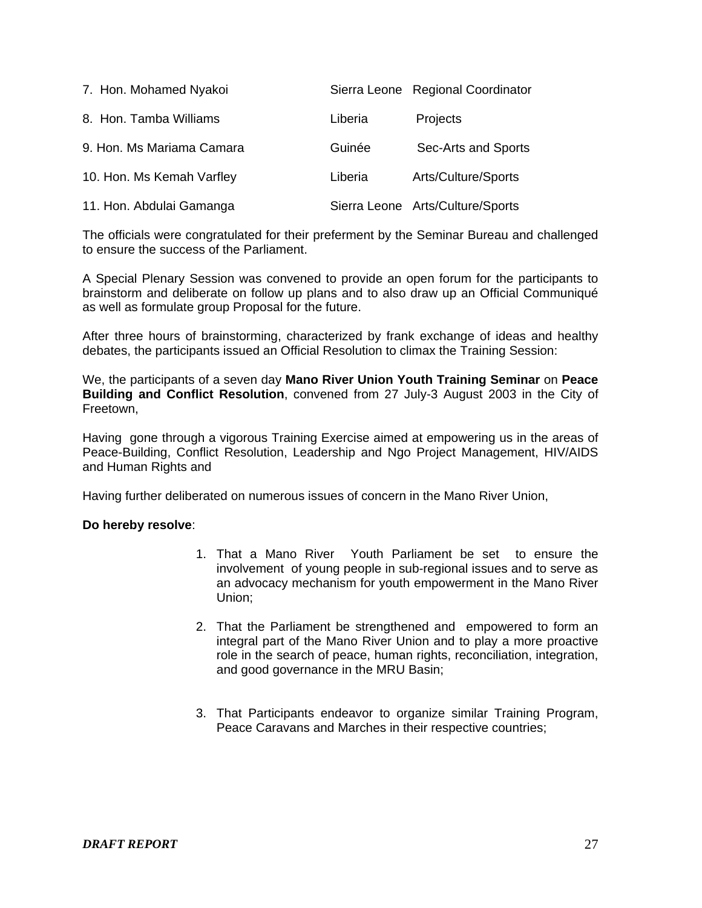| 7. Hon. Mohamed Nyakoi    |         | Sierra Leone Regional Coordinator |
|---------------------------|---------|-----------------------------------|
| 8. Hon. Tamba Williams    | Liberia | Projects                          |
| 9. Hon. Ms Mariama Camara | Guinée  | Sec-Arts and Sports               |
| 10. Hon. Ms Kemah Varfley | Liberia | Arts/Culture/Sports               |
| 11. Hon. Abdulai Gamanga  |         | Sierra Leone Arts/Culture/Sports  |

The officials were congratulated for their preferment by the Seminar Bureau and challenged to ensure the success of the Parliament.

A Special Plenary Session was convened to provide an open forum for the participants to brainstorm and deliberate on follow up plans and to also draw up an Official Communiqué as well as formulate group Proposal for the future.

After three hours of brainstorming, characterized by frank exchange of ideas and healthy debates, the participants issued an Official Resolution to climax the Training Session:

We, the participants of a seven day **Mano River Union Youth Training Seminar** on **Peace Building and Conflict Resolution**, convened from 27 July-3 August 2003 in the City of Freetown,

Having gone through a vigorous Training Exercise aimed at empowering us in the areas of Peace-Building, Conflict Resolution, Leadership and Ngo Project Management, HIV/AIDS and Human Rights and

Having further deliberated on numerous issues of concern in the Mano River Union,

#### **Do hereby resolve**:

- 1. That a Mano River Youth Parliament be set to ensure the involvement of young people in sub-regional issues and to serve as an advocacy mechanism for youth empowerment in the Mano River Union;
- 2. That the Parliament be strengthened and empowered to form an integral part of the Mano River Union and to play a more proactive role in the search of peace, human rights, reconciliation, integration, and good governance in the MRU Basin;
- 3. That Participants endeavor to organize similar Training Program, Peace Caravans and Marches in their respective countries;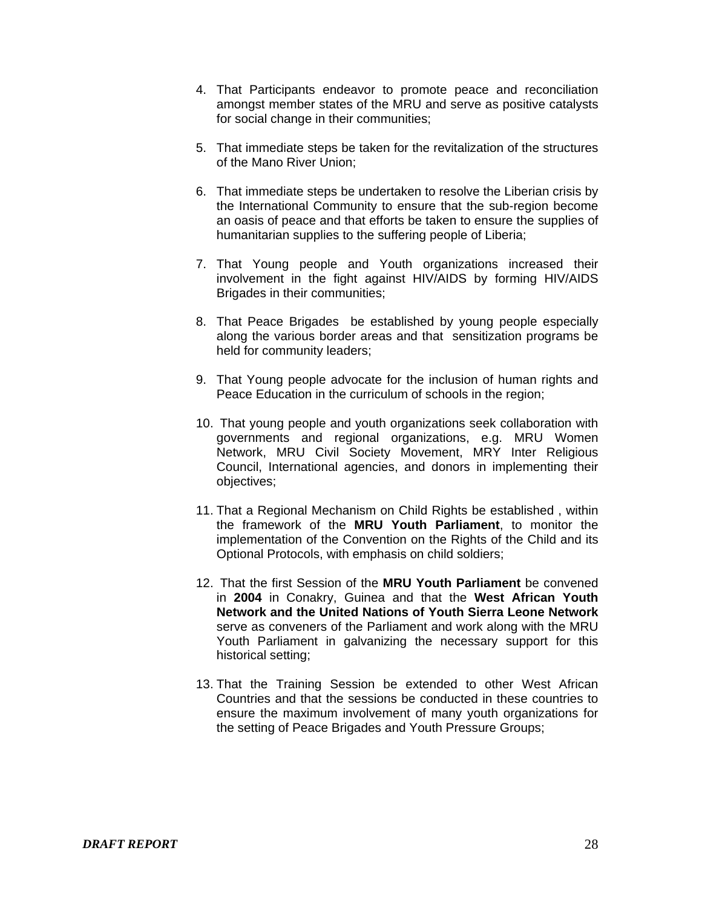- 4. That Participants endeavor to promote peace and reconciliation amongst member states of the MRU and serve as positive catalysts for social change in their communities;
- 5. That immediate steps be taken for the revitalization of the structures of the Mano River Union;
- 6. That immediate steps be undertaken to resolve the Liberian crisis by the International Community to ensure that the sub-region become an oasis of peace and that efforts be taken to ensure the supplies of humanitarian supplies to the suffering people of Liberia;
- 7. That Young people and Youth organizations increased their involvement in the fight against HIV/AIDS by forming HIV/AIDS Brigades in their communities;
- 8. That Peace Brigades be established by young people especially along the various border areas and that sensitization programs be held for community leaders;
- 9. That Young people advocate for the inclusion of human rights and Peace Education in the curriculum of schools in the region;
- 10. That young people and youth organizations seek collaboration with governments and regional organizations, e.g. MRU Women Network, MRU Civil Society Movement, MRY Inter Religious Council, International agencies, and donors in implementing their objectives;
- 11. That a Regional Mechanism on Child Rights be established , within the framework of the **MRU Youth Parliament**, to monitor the implementation of the Convention on the Rights of the Child and its Optional Protocols, with emphasis on child soldiers;
- 12. That the first Session of the **MRU Youth Parliament** be convened in **2004** in Conakry, Guinea and that the **West African Youth Network and the United Nations of Youth Sierra Leone Network**  serve as conveners of the Parliament and work along with the MRU Youth Parliament in galvanizing the necessary support for this historical setting;
- 13. That the Training Session be extended to other West African Countries and that the sessions be conducted in these countries to ensure the maximum involvement of many youth organizations for the setting of Peace Brigades and Youth Pressure Groups;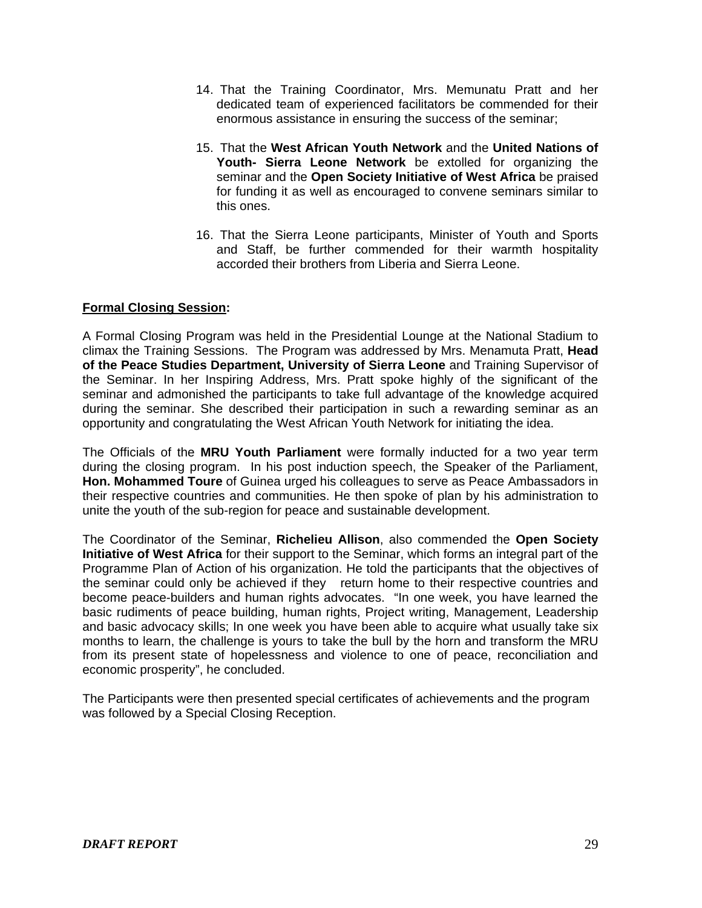- 14. That the Training Coordinator, Mrs. Memunatu Pratt and her dedicated team of experienced facilitators be commended for their enormous assistance in ensuring the success of the seminar;
- 15. That the **West African Youth Network** and the **United Nations of Youth- Sierra Leone Network** be extolled for organizing the seminar and the **Open Society Initiative of West Africa** be praised for funding it as well as encouraged to convene seminars similar to this ones.
- 16. That the Sierra Leone participants, Minister of Youth and Sports and Staff, be further commended for their warmth hospitality accorded their brothers from Liberia and Sierra Leone.

# **Formal Closing Session:**

A Formal Closing Program was held in the Presidential Lounge at the National Stadium to climax the Training Sessions. The Program was addressed by Mrs. Menamuta Pratt, **Head of the Peace Studies Department, University of Sierra Leone** and Training Supervisor of the Seminar. In her Inspiring Address, Mrs. Pratt spoke highly of the significant of the seminar and admonished the participants to take full advantage of the knowledge acquired during the seminar. She described their participation in such a rewarding seminar as an opportunity and congratulating the West African Youth Network for initiating the idea.

The Officials of the **MRU Youth Parliament** were formally inducted for a two year term during the closing program. In his post induction speech, the Speaker of the Parliament, **Hon. Mohammed Toure** of Guinea urged his colleagues to serve as Peace Ambassadors in their respective countries and communities. He then spoke of plan by his administration to unite the youth of the sub-region for peace and sustainable development.

The Coordinator of the Seminar, **Richelieu Allison**, also commended the **Open Society Initiative of West Africa** for their support to the Seminar, which forms an integral part of the Programme Plan of Action of his organization. He told the participants that the objectives of the seminar could only be achieved if they return home to their respective countries and become peace-builders and human rights advocates. "In one week, you have learned the basic rudiments of peace building, human rights, Project writing, Management, Leadership and basic advocacy skills; In one week you have been able to acquire what usually take six months to learn, the challenge is yours to take the bull by the horn and transform the MRU from its present state of hopelessness and violence to one of peace, reconciliation and economic prosperity", he concluded.

The Participants were then presented special certificates of achievements and the program was followed by a Special Closing Reception.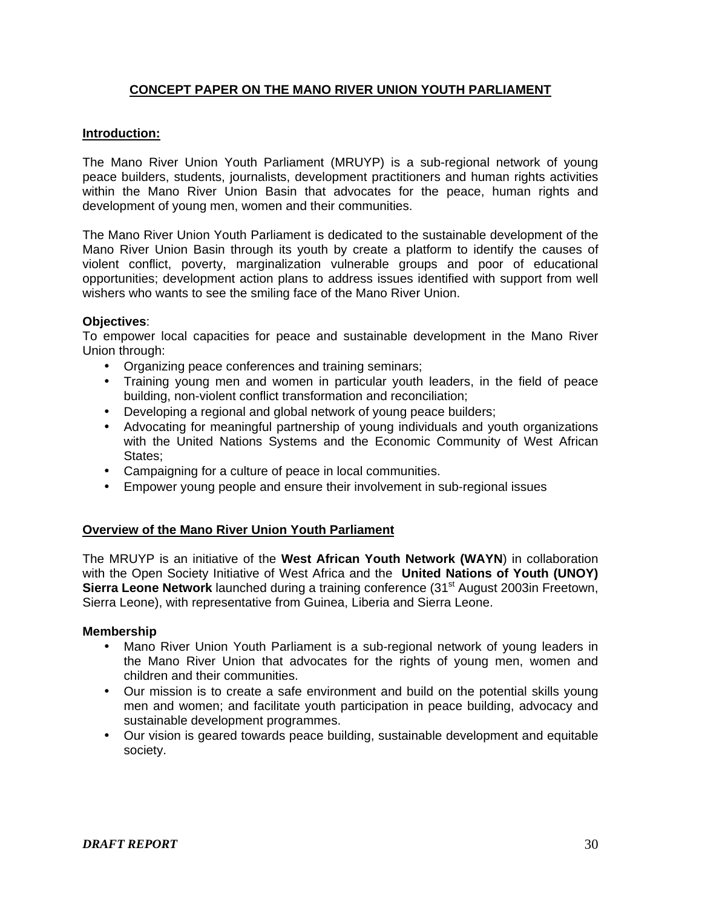# **CONCEPT PAPER ON THE MANO RIVER UNION YOUTH PARLIAMENT**

## **Introduction:**

The Mano River Union Youth Parliament (MRUYP) is a sub-regional network of young peace builders, students, journalists, development practitioners and human rights activities within the Mano River Union Basin that advocates for the peace, human rights and development of young men, women and their communities.

The Mano River Union Youth Parliament is dedicated to the sustainable development of the Mano River Union Basin through its youth by create a platform to identify the causes of violent conflict, poverty, marginalization vulnerable groups and poor of educational opportunities; development action plans to address issues identified with support from well wishers who wants to see the smiling face of the Mano River Union.

#### **Objectives**:

To empower local capacities for peace and sustainable development in the Mano River Union through:

- Organizing peace conferences and training seminars;
- Training young men and women in particular youth leaders, in the field of peace building, non-violent conflict transformation and reconciliation;
- Developing a regional and global network of young peace builders;
- Advocating for meaningful partnership of young individuals and youth organizations with the United Nations Systems and the Economic Community of West African States;
- Campaigning for a culture of peace in local communities.
- Empower young people and ensure their involvement in sub-regional issues

#### **Overview of the Mano River Union Youth Parliament**

The MRUYP is an initiative of the **West African Youth Network (WAYN**) in collaboration with the Open Society Initiative of West Africa and the **United Nations of Youth (UNOY) Sierra Leone Network** launched during a training conference (31<sup>st</sup> August 2003in Freetown, Sierra Leone), with representative from Guinea, Liberia and Sierra Leone.

#### **Membership**

- Mano River Union Youth Parliament is a sub-regional network of young leaders in the Mano River Union that advocates for the rights of young men, women and children and their communities.
- Our mission is to create a safe environment and build on the potential skills young men and women; and facilitate youth participation in peace building, advocacy and sustainable development programmes.
- Our vision is geared towards peace building, sustainable development and equitable society.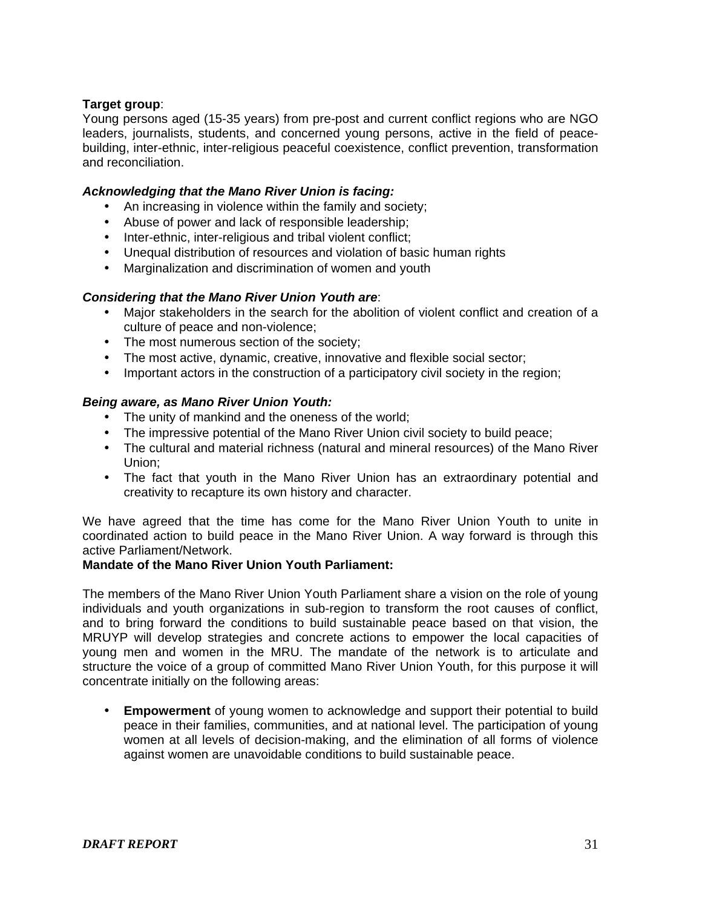# **Target group**:

Young persons aged (15-35 years) from pre-post and current conflict regions who are NGO leaders, journalists, students, and concerned young persons, active in the field of peacebuilding, inter-ethnic, inter-religious peaceful coexistence, conflict prevention, transformation and reconciliation.

## *Acknowledging that the Mano River Union is facing:*

- An increasing in violence within the family and society;
- Abuse of power and lack of responsible leadership;
- Inter-ethnic, inter-religious and tribal violent conflict;
- Unequal distribution of resources and violation of basic human rights
- Marginalization and discrimination of women and youth

#### *Considering that the Mano River Union Youth are*:

- Major stakeholders in the search for the abolition of violent conflict and creation of a culture of peace and non-violence;
- The most numerous section of the society:
- The most active, dynamic, creative, innovative and flexible social sector;
- Important actors in the construction of a participatory civil society in the region;

#### *Being aware, as Mano River Union Youth:*

- The unity of mankind and the oneness of the world;
- The impressive potential of the Mano River Union civil society to build peace;
- The cultural and material richness (natural and mineral resources) of the Mano River Union;
- The fact that youth in the Mano River Union has an extraordinary potential and creativity to recapture its own history and character.

We have agreed that the time has come for the Mano River Union Youth to unite in coordinated action to build peace in the Mano River Union. A way forward is through this active Parliament/Network.

#### **Mandate of the Mano River Union Youth Parliament:**

The members of the Mano River Union Youth Parliament share a vision on the role of young individuals and youth organizations in sub-region to transform the root causes of conflict, and to bring forward the conditions to build sustainable peace based on that vision, the MRUYP will develop strategies and concrete actions to empower the local capacities of young men and women in the MRU. The mandate of the network is to articulate and structure the voice of a group of committed Mano River Union Youth, for this purpose it will concentrate initially on the following areas:

**Empowerment** of young women to acknowledge and support their potential to build peace in their families, communities, and at national level. The participation of young women at all levels of decision-making, and the elimination of all forms of violence against women are unavoidable conditions to build sustainable peace.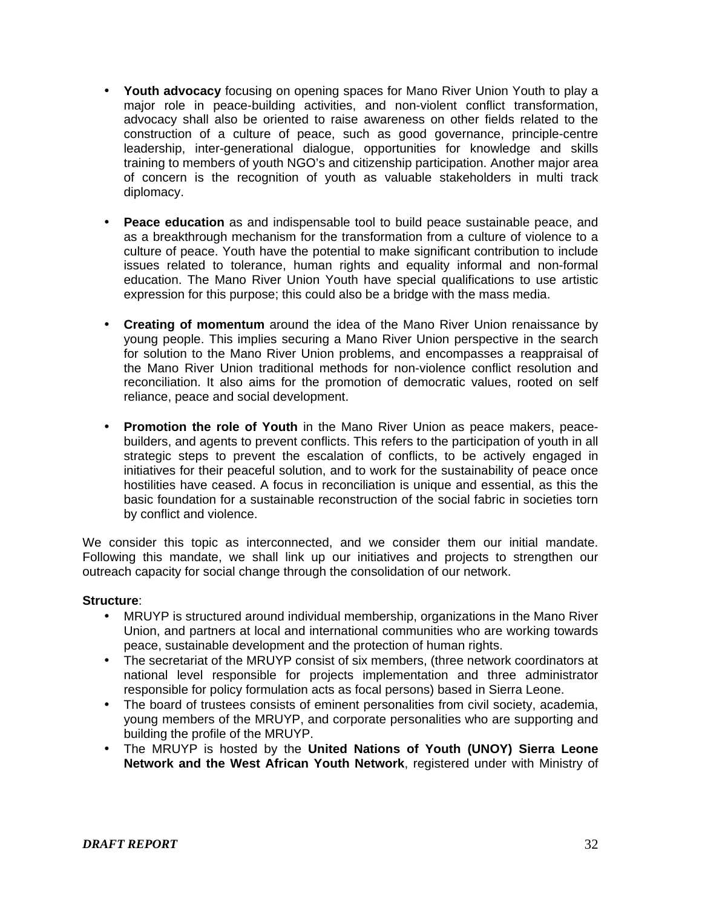- **Youth advocacy** focusing on opening spaces for Mano River Union Youth to play a major role in peace-building activities, and non-violent conflict transformation, advocacy shall also be oriented to raise awareness on other fields related to the construction of a culture of peace, such as good governance, principle-centre leadership, inter-generational dialogue, opportunities for knowledge and skills training to members of youth NGO's and citizenship participation. Another major area of concern is the recognition of youth as valuable stakeholders in multi track diplomacy.
- **Peace education** as and indispensable tool to build peace sustainable peace, and as a breakthrough mechanism for the transformation from a culture of violence to a culture of peace. Youth have the potential to make significant contribution to include issues related to tolerance, human rights and equality informal and non-formal education. The Mano River Union Youth have special qualifications to use artistic expression for this purpose; this could also be a bridge with the mass media.
- **Creating of momentum** around the idea of the Mano River Union renaissance by young people. This implies securing a Mano River Union perspective in the search for solution to the Mano River Union problems, and encompasses a reappraisal of the Mano River Union traditional methods for non-violence conflict resolution and reconciliation. It also aims for the promotion of democratic values, rooted on self reliance, peace and social development.
- **Promotion the role of Youth** in the Mano River Union as peace makers, peacebuilders, and agents to prevent conflicts. This refers to the participation of youth in all strategic steps to prevent the escalation of conflicts, to be actively engaged in initiatives for their peaceful solution, and to work for the sustainability of peace once hostilities have ceased. A focus in reconciliation is unique and essential, as this the basic foundation for a sustainable reconstruction of the social fabric in societies torn by conflict and violence.

We consider this topic as interconnected, and we consider them our initial mandate. Following this mandate, we shall link up our initiatives and proiects to strengthen our outreach capacity for social change through the consolidation of our network.

#### **Structure**:

- MRUYP is structured around individual membership, organizations in the Mano River Union, and partners at local and international communities who are working towards peace, sustainable development and the protection of human rights.
- The secretariat of the MRUYP consist of six members, (three network coordinators at national level responsible for projects implementation and three administrator responsible for policy formulation acts as focal persons) based in Sierra Leone.
- The board of trustees consists of eminent personalities from civil society, academia, young members of the MRUYP, and corporate personalities who are supporting and building the profile of the MRUYP.
- The MRUYP is hosted by the **United Nations of Youth (UNOY) Sierra Leone Network and the West African Youth Network**, registered under with Ministry of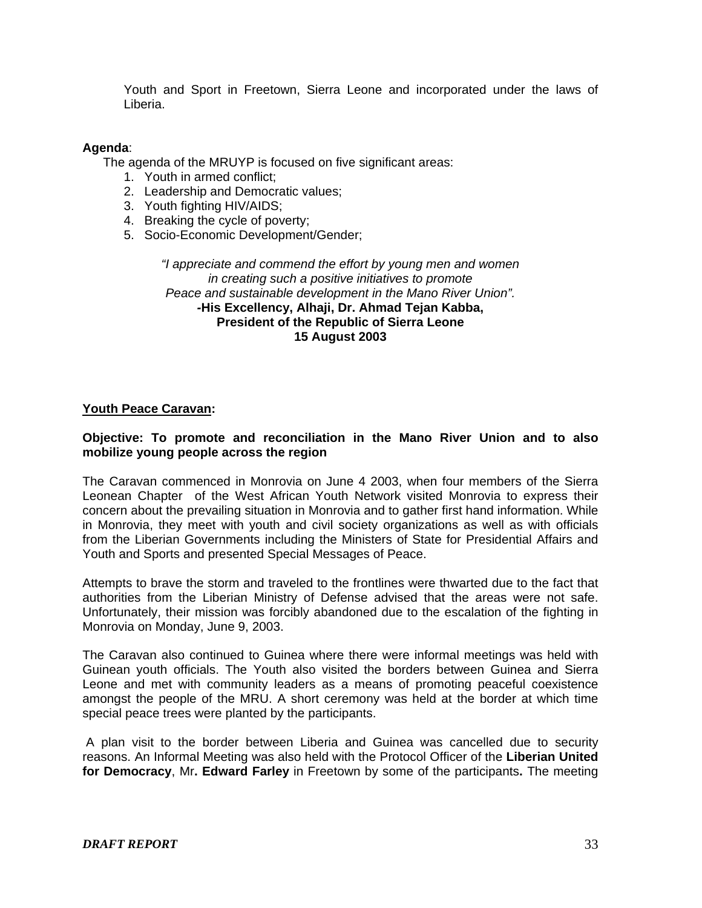Youth and Sport in Freetown, Sierra Leone and incorporated under the laws of Liberia.

#### **Agenda**:

The agenda of the MRUYP is focused on five significant areas:

- 1. Youth in armed conflict;
- 2. Leadership and Democratic values;
- 3. Youth fighting HIV/AIDS;
- 4. Breaking the cycle of poverty;
- 5. Socio-Economic Development/Gender;

*"I appreciate and commend the effort by young men and women in creating such a positive initiatives to promote Peace and sustainable development in the Mano River Union". -***His Excellency, Alhaji, Dr. Ahmad Tejan Kabba, President of the Republic of Sierra Leone 15 August 2003** 

#### **Youth Peace Caravan:**

#### **Objective: To promote and reconciliation in the Mano River Union and to also mobilize young people across the region**

The Caravan commenced in Monrovia on June 4 2003, when four members of the Sierra Leonean Chapter of the West African Youth Network visited Monrovia to express their concern about the prevailing situation in Monrovia and to gather first hand information. While in Monrovia, they meet with youth and civil society organizations as well as with officials from the Liberian Governments including the Ministers of State for Presidential Affairs and Youth and Sports and presented Special Messages of Peace.

Attempts to brave the storm and traveled to the frontlines were thwarted due to the fact that authorities from the Liberian Ministry of Defense advised that the areas were not safe. Unfortunately, their mission was forcibly abandoned due to the escalation of the fighting in Monrovia on Monday, June 9, 2003.

The Caravan also continued to Guinea where there were informal meetings was held with Guinean youth officials. The Youth also visited the borders between Guinea and Sierra Leone and met with community leaders as a means of promoting peaceful coexistence amongst the people of the MRU. A short ceremony was held at the border at which time special peace trees were planted by the participants.

A plan visit to the border between Liberia and Guinea was cancelled due to security reasons. An Informal Meeting was also held with the Protocol Officer of the **Liberian United for Democracy**, Mr**. Edward Farley** in Freetown by some of the participants**.** The meeting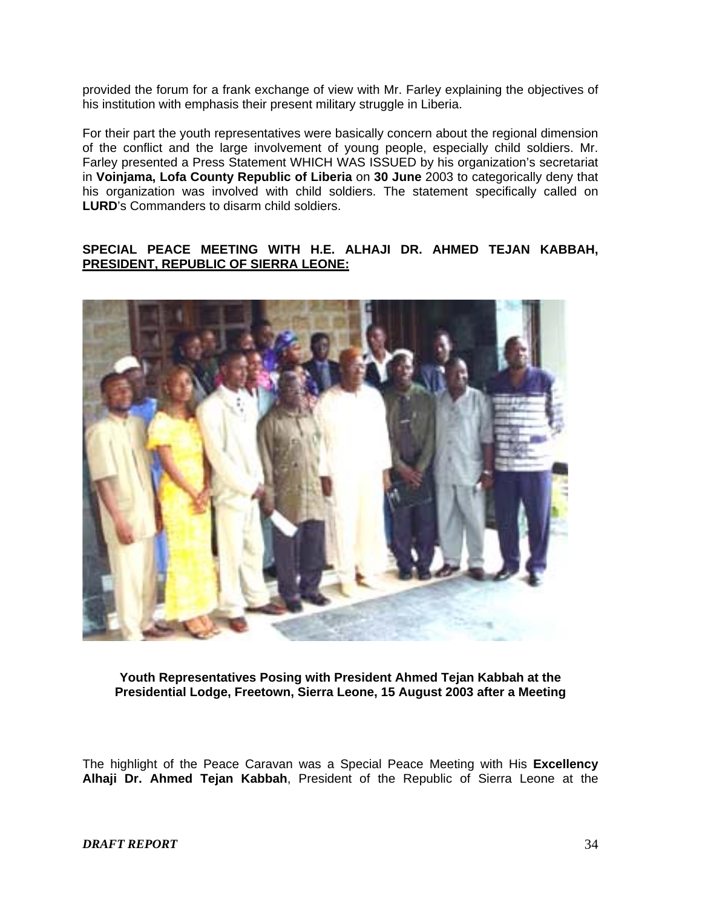provided the forum for a frank exchange of view with Mr. Farley explaining the objectives of his institution with emphasis their present military struggle in Liberia.

For their part the youth representatives were basically concern about the regional dimension of the conflict and the large involvement of young people, especially child soldiers. Mr. Farley presented a Press Statement WHICH WAS ISSUED by his organization's secretariat in **Voinjama, Lofa County Republic of Liberia** on **30 June** 2003 to categorically deny that his organization was involved with child soldiers. The statement specifically called on **LURD**'s Commanders to disarm child soldiers.

## **SPECIAL PEACE MEETING WITH H.E. ALHAJI DR. AHMED TEJAN KABBAH, PRESIDENT, REPUBLIC OF SIERRA LEONE:**



**Youth Representatives Posing with President Ahmed Tejan Kabbah at the Presidential Lodge, Freetown, Sierra Leone, 15 August 2003 after a Meeting** 

The highlight of the Peace Caravan was a Special Peace Meeting with His **Excellency Alhaji Dr. Ahmed Tejan Kabbah**, President of the Republic of Sierra Leone at the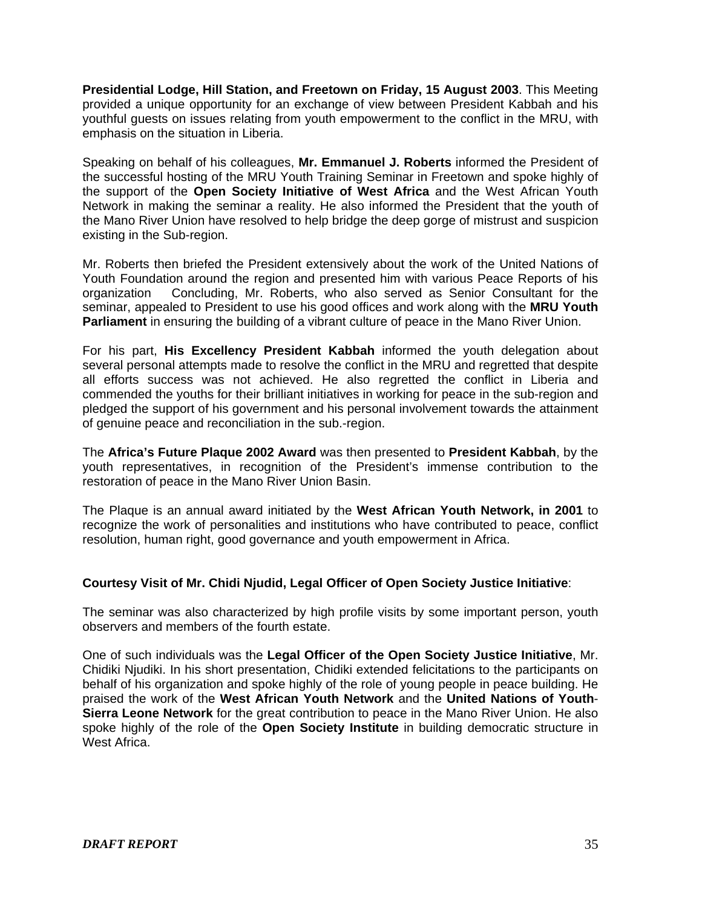**Presidential Lodge, Hill Station, and Freetown on Friday, 15 August 2003**. This Meeting provided a unique opportunity for an exchange of view between President Kabbah and his youthful guests on issues relating from youth empowerment to the conflict in the MRU, with emphasis on the situation in Liberia.

Speaking on behalf of his colleagues, **Mr. Emmanuel J. Roberts** informed the President of the successful hosting of the MRU Youth Training Seminar in Freetown and spoke highly of the support of the **Open Society Initiative of West Africa** and the West African Youth Network in making the seminar a reality. He also informed the President that the youth of the Mano River Union have resolved to help bridge the deep gorge of mistrust and suspicion existing in the Sub-region.

Mr. Roberts then briefed the President extensively about the work of the United Nations of Youth Foundation around the region and presented him with various Peace Reports of his organization Concluding, Mr. Roberts, who also served as Senior Consultant for the seminar, appealed to President to use his good offices and work along with the **MRU Youth Parliament** in ensuring the building of a vibrant culture of peace in the Mano River Union.

For his part, **His Excellency President Kabbah** informed the youth delegation about several personal attempts made to resolve the conflict in the MRU and regretted that despite all efforts success was not achieved. He also regretted the conflict in Liberia and commended the youths for their brilliant initiatives in working for peace in the sub-region and pledged the support of his government and his personal involvement towards the attainment of genuine peace and reconciliation in the sub.-region.

The **Africa's Future Plaque 2002 Award** was then presented to **President Kabbah**, by the youth representatives, in recognition of the President's immense contribution to the restoration of peace in the Mano River Union Basin.

The Plaque is an annual award initiated by the **West African Youth Network, in 2001** to recognize the work of personalities and institutions who have contributed to peace, conflict resolution, human right, good governance and youth empowerment in Africa.

#### **Courtesy Visit of Mr. Chidi Njudid, Legal Officer of Open Society Justice Initiative**:

The seminar was also characterized by high profile visits by some important person, youth observers and members of the fourth estate.

One of such individuals was the **Legal Officer of the Open Society Justice Initiative**, Mr. Chidiki Njudiki. In his short presentation, Chidiki extended felicitations to the participants on behalf of his organization and spoke highly of the role of young people in peace building. He praised the work of the **West African Youth Network** and the **United Nations of Youth**-**Sierra Leone Network** for the great contribution to peace in the Mano River Union. He also spoke highly of the role of the **Open Society Institute** in building democratic structure in West Africa.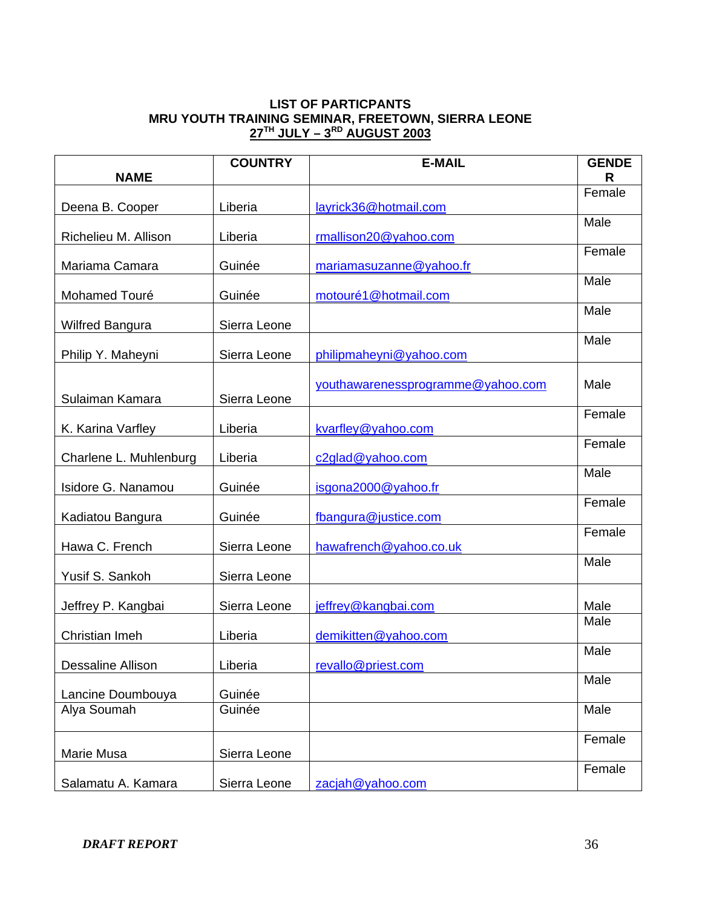## **LIST OF PARTICPANTS MRU YOUTH TRAINING SEMINAR, FREETOWN, SIERRA LEONE 27TH JULY – 3RD AUGUST 2003**

|                        | <b>COUNTRY</b> | <b>E-MAIL</b>                     | <b>GENDE</b> |
|------------------------|----------------|-----------------------------------|--------------|
| <b>NAME</b>            |                |                                   | R<br>Female  |
| Deena B. Cooper        | Liberia        | layrick36@hotmail.com             |              |
|                        |                |                                   | Male         |
| Richelieu M. Allison   | Liberia        | rmallison20@yahoo.com             | Female       |
| Mariama Camara         | Guinée         | mariamasuzanne@yahoo.fr           |              |
| Mohamed Touré          | Guinée         | motouré1@hotmail.com              | Male         |
|                        |                |                                   | Male         |
| <b>Wilfred Bangura</b> | Sierra Leone   |                                   |              |
| Philip Y. Maheyni      | Sierra Leone   | philipmaheyni@yahoo.com           | Male         |
|                        |                |                                   |              |
|                        |                | youthawarenessprogramme@yahoo.com | Male         |
| Sulaiman Kamara        | Sierra Leone   |                                   | Female       |
| K. Karina Varfley      | Liberia        | kvarfley@yahoo.com                |              |
| Charlene L. Muhlenburg | Liberia        | c2glad@yahoo.com                  | Female       |
|                        |                |                                   | Male         |
| Isidore G. Nanamou     | Guinée         | isgona2000@yahoo.fr               |              |
| Kadiatou Bangura       | Guinée         | fbangura@justice.com              | Female       |
|                        |                |                                   | Female       |
| Hawa C. French         | Sierra Leone   | hawafrench@yahoo.co.uk            | Male         |
| Yusif S. Sankoh        | Sierra Leone   |                                   |              |
|                        |                |                                   |              |
| Jeffrey P. Kangbai     | Sierra Leone   | jeffrey@kangbai.com               | Male<br>Male |
| Christian Imeh         | Liberia        | demikitten@yahoo.com              |              |
|                        |                |                                   | Male         |
| Dessaline Allison      | Liberia        | revallo@priest.com                | Male         |
| Lancine Doumbouya      | Guinée         |                                   |              |
| Alya Soumah            | Guinée         |                                   | Male         |
|                        |                |                                   | Female       |
| Marie Musa             | Sierra Leone   |                                   |              |
| Salamatu A. Kamara     | Sierra Leone   | zacjah@yahoo.com                  | Female       |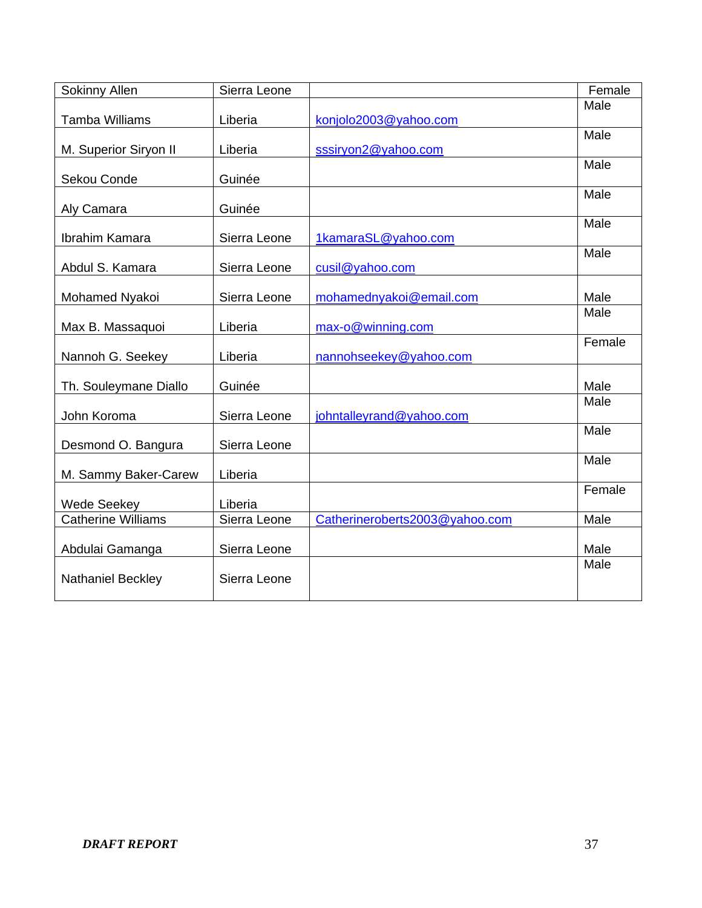| Sokinny Allen             | Sierra Leone |                                | Female |
|---------------------------|--------------|--------------------------------|--------|
|                           |              |                                | Male   |
| Tamba Williams            | Liberia      | konjolo2003@yahoo.com          |        |
| M. Superior Siryon II     | Liberia      | sssiryon2@yahoo.com            | Male   |
|                           |              |                                | Male   |
| Sekou Conde               | Guinée       |                                |        |
|                           |              |                                | Male   |
| Aly Camara                | Guinée       |                                |        |
| Ibrahim Kamara            | Sierra Leone | 1kamaraSL@yahoo.com            | Male   |
|                           |              |                                | Male   |
| Abdul S. Kamara           | Sierra Leone | cusil@yahoo.com                |        |
|                           |              |                                |        |
| Mohamed Nyakoi            | Sierra Leone | mohamednyakoi@email.com        | Male   |
|                           |              |                                | Male   |
| Max B. Massaquoi          | Liberia      | max-o@winning.com              |        |
| Nannoh G. Seekey          | Liberia      | nannohseekey@yahoo.com         | Female |
|                           |              |                                |        |
| Th. Souleymane Diallo     | Guinée       |                                | Male   |
|                           |              |                                | Male   |
| John Koroma               | Sierra Leone | johntalleyrand@yahoo.com       |        |
|                           |              |                                | Male   |
| Desmond O. Bangura        | Sierra Leone |                                | Male   |
| M. Sammy Baker-Carew      | Liberia      |                                |        |
|                           |              |                                | Female |
| <b>Wede Seekey</b>        | Liberia      |                                |        |
| <b>Catherine Williams</b> | Sierra Leone | Catherineroberts2003@yahoo.com | Male   |
|                           |              |                                |        |
| Abdulai Gamanga           | Sierra Leone |                                | Male   |
| Nathaniel Beckley         | Sierra Leone |                                | Male   |
|                           |              |                                |        |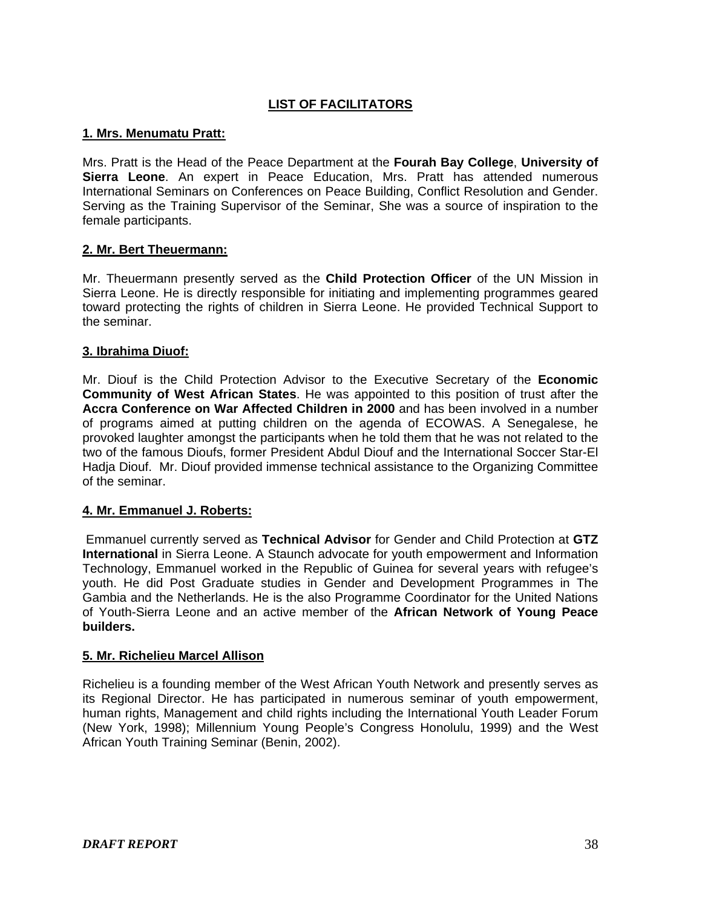# **LIST OF FACILITATORS**

## **1. Mrs. Menumatu Pratt:**

Mrs. Pratt is the Head of the Peace Department at the **Fourah Bay College**, **University of Sierra Leone**. An expert in Peace Education, Mrs. Pratt has attended numerous International Seminars on Conferences on Peace Building, Conflict Resolution and Gender. Serving as the Training Supervisor of the Seminar, She was a source of inspiration to the female participants.

## **2. Mr. Bert Theuermann:**

Mr. Theuermann presently served as the **Child Protection Officer** of the UN Mission in Sierra Leone. He is directly responsible for initiating and implementing programmes geared toward protecting the rights of children in Sierra Leone. He provided Technical Support to the seminar.

## **3. Ibrahima Diuof:**

Mr. Diouf is the Child Protection Advisor to the Executive Secretary of the **Economic Community of West African States**. He was appointed to this position of trust after the **Accra Conference on War Affected Children in 2000** and has been involved in a number of programs aimed at putting children on the agenda of ECOWAS. A Senegalese, he provoked laughter amongst the participants when he told them that he was not related to the two of the famous Dioufs, former President Abdul Diouf and the International Soccer Star-El Hadja Diouf. Mr. Diouf provided immense technical assistance to the Organizing Committee of the seminar.

# **4. Mr. Emmanuel J. Roberts:**

 Emmanuel currently served as **Technical Advisor** for Gender and Child Protection at **GTZ International** in Sierra Leone. A Staunch advocate for youth empowerment and Information Technology, Emmanuel worked in the Republic of Guinea for several years with refugee's youth. He did Post Graduate studies in Gender and Development Programmes in The Gambia and the Netherlands. He is the also Programme Coordinator for the United Nations of Youth-Sierra Leone and an active member of the **African Network of Young Peace builders.** 

#### **5. Mr. Richelieu Marcel Allison**

Richelieu is a founding member of the West African Youth Network and presently serves as its Regional Director. He has participated in numerous seminar of youth empowerment, human rights, Management and child rights including the International Youth Leader Forum (New York, 1998); Millennium Young People's Congress Honolulu, 1999) and the West African Youth Training Seminar (Benin, 2002).